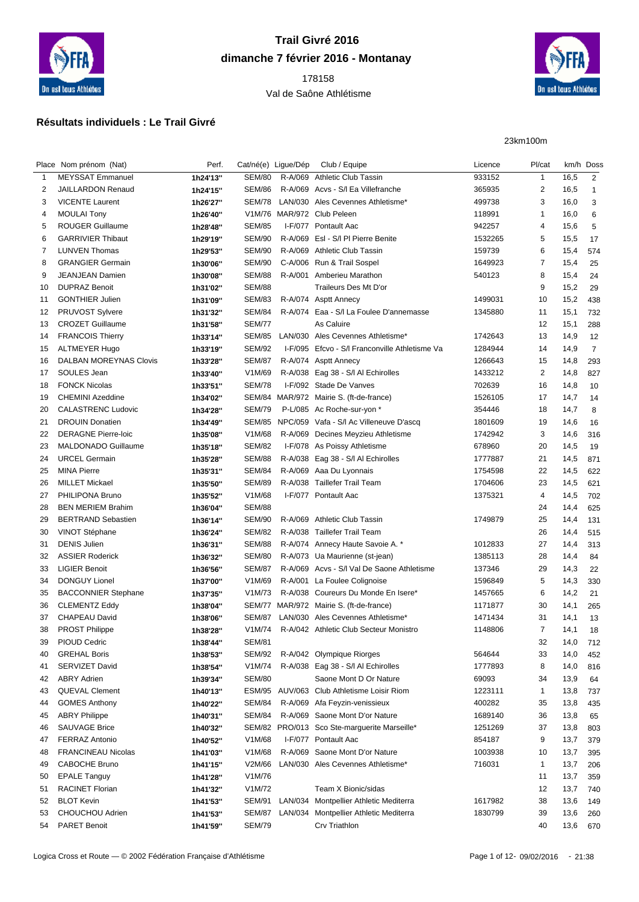

## **Trail Givré 2016 dimanche 7 février 2016 - Montanay**

## Val de Saône Athlétisme



## **Résultats individuels : Le Trail Givré**

23km100m

|    | Place Nom prénom (Nat)        | Perf.    | Cat/né(e) Ligue/Dép |         | Club / Equipe                                  | Licence | Pl/cat                  |      | km/h Doss      |
|----|-------------------------------|----------|---------------------|---------|------------------------------------------------|---------|-------------------------|------|----------------|
| 1  | <b>MEYSSAT Emmanuel</b>       | 1h24'13" | <b>SEM/80</b>       |         | R-A/069 Athletic Club Tassin                   | 933152  | $\mathbf{1}$            | 16,5 | 2              |
| 2  | JAILLARDON Renaud             | 1h24'15" | <b>SEM/86</b>       |         | R-A/069 Acvs - S/I Ea Villefranche             | 365935  | $\overline{\mathbf{c}}$ | 16,5 | -1             |
| 3  | <b>VICENTE Laurent</b>        | 1h26'27" | SEM/78              |         | LAN/030 Ales Cevennes Athletisme*              | 499738  | 3                       | 16,0 | 3              |
| 4  | <b>MOULAI Tony</b>            | 1h26'40" |                     |         | V1M/76 MAR/972 Club Peleen                     | 118991  | -1                      | 16,0 | 6              |
| 5  | <b>ROUGER Guillaume</b>       | 1h28'48" | <b>SEM/85</b>       |         | I-F/077 Pontault Aac                           | 942257  | 4                       | 15,6 | 5              |
| 6  | <b>GARRIVIER Thibaut</b>      | 1h29'19" | <b>SEM/90</b>       |         | R-A/069 EsI - S/I PI Pierre Benite             | 1532265 | 5                       | 15,5 | 17             |
| 7  | <b>LUNVEN Thomas</b>          | 1h29'53" | <b>SEM/90</b>       |         | R-A/069 Athletic Club Tassin                   | 159739  | 6                       | 15,4 | 574            |
| 8  | <b>GRANGIER Germain</b>       | 1h30'06" | <b>SEM/90</b>       |         | C-A/006 Run & Trail Sospel                     | 1649923 | 7                       | 15,4 | 25             |
| 9  | <b>JEANJEAN Damien</b>        | 1h30'08" | <b>SEM/88</b>       | R-A/001 | Amberieu Marathon                              | 540123  | 8                       | 15,4 | 24             |
| 10 | <b>DUPRAZ Benoit</b>          | 1h31'02" | <b>SEM/88</b>       |         | Traileurs Des Mt D'or                          |         | 9                       | 15,2 | 29             |
| 11 | <b>GONTHIER Julien</b>        | 1h31'09" | <b>SEM/83</b>       |         | R-A/074 Asptt Annecy                           | 1499031 | 10                      | 15,2 | 438            |
| 12 | <b>PRUVOST Sylvere</b>        | 1h31'32" | <b>SEM/84</b>       |         | R-A/074 Eaa - S/I La Foulee D'annemasse        | 1345880 | 11                      | 15,1 | 732            |
| 13 | <b>CROZET Guillaume</b>       | 1h31'58" | <b>SEM/77</b>       |         | As Caluire                                     |         | 12                      | 15,1 | 288            |
| 14 | <b>FRANCOIS Thierry</b>       | 1h33'14" | <b>SEM/85</b>       |         | LAN/030 Ales Cevennes Athletisme*              | 1742643 | 13                      | 14,9 | 12             |
| 15 | <b>ALTMEYER Hugo</b>          | 1h33'19" | <b>SEM/92</b>       |         | I-F/095 Efcvo - S/I Franconville Athletisme Va | 1284944 | 14                      | 14,9 | $\overline{7}$ |
| 16 | <b>DALBAN MOREYNAS Clovis</b> | 1h33'28" | <b>SEM/87</b>       |         | R-A/074 Asptt Annecy                           | 1266643 | 15                      | 14,8 | 293            |
| 17 | SOULES Jean                   | 1h33'40" | V1M/69              |         | R-A/038 Eag 38 - S/I AI Echirolles             | 1433212 | $\overline{\mathbf{c}}$ | 14,8 | 827            |
| 18 | <b>FONCK Nicolas</b>          | 1h33'51" | <b>SEM/78</b>       |         | I-F/092 Stade De Vanves                        | 702639  | 16                      | 14,8 | 10             |
| 19 | <b>CHEMINI Azeddine</b>       | 1h34'02" |                     |         | SEM/84 MAR/972 Mairie S. (ft-de-france)        | 1526105 | 17                      | 14,7 | 14             |
| 20 | <b>CALASTRENC Ludovic</b>     |          | <b>SEM/79</b>       |         | P-L/085 Ac Roche-sur-yon *                     | 354446  | 18                      | 14,7 | 8              |
|    | <b>DROUIN Donatien</b>        | 1h34'28" |                     |         |                                                |         |                         |      |                |
| 21 | <b>DERAGNE Pierre-loic</b>    | 1h34'49" | V1M/68              |         | SEM/85 NPC/059 Vafa - S/I Ac Villeneuve D'ascq | 1801609 | 19                      | 14,6 | 16             |
| 22 |                               | 1h35'08" |                     |         | R-A/069 Decines Meyzieu Athletisme             | 1742942 | 3                       | 14,6 | 316            |
| 23 | <b>MALDONADO Guillaume</b>    | 1h35'18" | <b>SEM/82</b>       |         | I-F/078 As Poissy Athletisme                   | 678960  | 20                      | 14,5 | 19             |
| 24 | <b>URCEL Germain</b>          | 1h35'28" | <b>SEM/88</b>       |         | R-A/038 Eag 38 - S/I AI Echirolles             | 1777887 | 21                      | 14,5 | 871            |
| 25 | <b>MINA Pierre</b>            | 1h35'31" | <b>SEM/84</b>       |         | R-A/069 Aaa Du Lyonnais                        | 1754598 | 22                      | 14,5 | 622            |
| 26 | <b>MILLET Mickael</b>         | 1h35'50" | <b>SEM/89</b>       |         | R-A/038 Taillefer Trail Team                   | 1704606 | 23                      | 14,5 | 621            |
| 27 | PHILIPONA Bruno               | 1h35'52" | V1M/68              |         | I-F/077 Pontault Aac                           | 1375321 | 4                       | 14,5 | 702            |
| 28 | <b>BEN MERIEM Brahim</b>      | 1h36'04" | <b>SEM/88</b>       |         |                                                |         | 24                      | 14,4 | 625            |
| 29 | <b>BERTRAND Sebastien</b>     | 1h36'14" | <b>SEM/90</b>       |         | R-A/069 Athletic Club Tassin                   | 1749879 | 25                      | 14,4 | 131            |
| 30 | <b>VINOT Stéphane</b>         | 1h36'24" | <b>SEM/82</b>       |         | R-A/038 Taillefer Trail Team                   |         | 26                      | 14,4 | 515            |
| 31 | <b>DENIS Julien</b>           | 1h36'31" | <b>SEM/88</b>       |         | R-A/074 Annecy Haute Savoie A. *               | 1012833 | 27                      | 14,4 | 313            |
| 32 | <b>ASSIER Roderick</b>        | 1h36'32" | <b>SEM/80</b>       |         | R-A/073 Ua Maurienne (st-jean)                 | 1385113 | 28                      | 14,4 | 84             |
| 33 | <b>LIGIER Benoit</b>          | 1h36'56" | <b>SEM/87</b>       |         | R-A/069 Acvs - S/I Val De Saone Athletisme     | 137346  | 29                      | 14,3 | 22             |
| 34 | <b>DONGUY Lionel</b>          | 1h37'00" | V1M/69              |         | R-A/001 La Foulee Colignoise                   | 1596849 | 5                       | 14,3 | 330            |
| 35 | <b>BACCONNIER Stephane</b>    | 1h37'35" | V1M/73              |         | R-A/038 Coureurs Du Monde En Isere*            | 1457665 | 6                       | 14,2 | 21             |
| 36 | <b>CLEMENTZ Eddy</b>          | 1h38'04" |                     |         | SEM/77 MAR/972 Mairie S. (ft-de-france)        | 1171877 | 30                      | 14,1 | 265            |
| 37 | CHAPEAU David                 | 1h38'06" | <b>SEM/87</b>       |         | LAN/030 Ales Cevennes Athletisme*              | 1471434 | 31                      | 14,1 | 13             |
| 38 | <b>PROST Philippe</b>         | 1h38'28" | V1M/74              |         | R-A/042 Athletic Club Secteur Monistro         | 1148806 | $\overline{7}$          | 14,1 | 18             |
| 39 | PIOUD Cedric                  | 1h38'44" | <b>SEM/81</b>       |         |                                                |         | 32                      | 14,0 | 712            |
| 40 | <b>GREHAL Boris</b>           | 1h38'53" | SEM/92              |         | R-A/042 Olympique Riorges                      | 564644  | 33                      | 14,0 | 452            |
| 41 | SERVIZET David                | 1h38'54" | V1M/74              |         | R-A/038 Eag 38 - S/I AI Echirolles             | 1777893 | 8                       | 14,0 | 816            |
| 42 | <b>ABRY Adrien</b>            | 1h39'34" | <b>SEM/80</b>       |         | Saone Mont D Or Nature                         | 69093   | 34                      | 13,9 | 64             |
| 43 | <b>QUEVAL Clement</b>         | 1h40'13" |                     |         | ESM/95 AUV/063 Club Athletisme Loisir Riom     | 1223111 | 1                       | 13,8 | 737            |
| 44 | <b>GOMES Anthony</b>          | 1h40'22" | <b>SEM/84</b>       |         | R-A/069 Afa Feyzin-venissieux                  | 400282  | 35                      | 13,8 | 435            |
| 45 | <b>ABRY Philippe</b>          | 1h40'31" | <b>SEM/84</b>       |         | R-A/069 Saone Mont D'or Nature                 | 1689140 | 36                      | 13,8 | 65             |
| 46 | <b>SAUVAGE Brice</b>          | 1h40'32" |                     |         | SEM/82 PRO/013 Sco Ste-marguerite Marseille*   | 1251269 | 37                      | 13,8 | 803            |
| 47 | <b>FERRAZ Antonio</b>         | 1h40'52" | V1M/68              |         | I-F/077 Pontault Aac                           | 854187  | 9                       | 13,7 | 379            |
| 48 | <b>FRANCINEAU Nicolas</b>     | 1h41'03" | V1M/68              |         | R-A/069 Saone Mont D'or Nature                 | 1003938 | 10                      | 13,7 | 395            |
| 49 | CABOCHE Bruno                 | 1h41'15" | V2M/66              |         | LAN/030 Ales Cevennes Athletisme*              | 716031  | $\mathbf{1}$            | 13,7 | 206            |
| 50 | <b>EPALE Tanguy</b>           |          | V1M/76              |         |                                                |         | 11                      | 13,7 | 359            |
|    | <b>RACINET Florian</b>        | 1h41'28" | V1M/72              |         | Team X Bionic/sidas                            |         |                         |      |                |
| 51 |                               | 1h41'32" |                     |         |                                                |         | 12                      | 13,7 | 740            |
| 52 | <b>BLOT Kevin</b>             | 1h41'53" | SEM/91              |         | LAN/034 Montpellier Athletic Mediterra         | 1617982 | 38                      | 13,6 | 149            |
| 53 | CHOUCHOU Adrien               | 1h41'53" | <b>SEM/87</b>       |         | LAN/034 Montpellier Athletic Mediterra         | 1830799 | 39                      | 13,6 | 260            |
| 54 | PARET Benoit                  | 1h41'59" | SEM/79              |         | Crv Triathlon                                  |         | 40                      | 13,6 | 670            |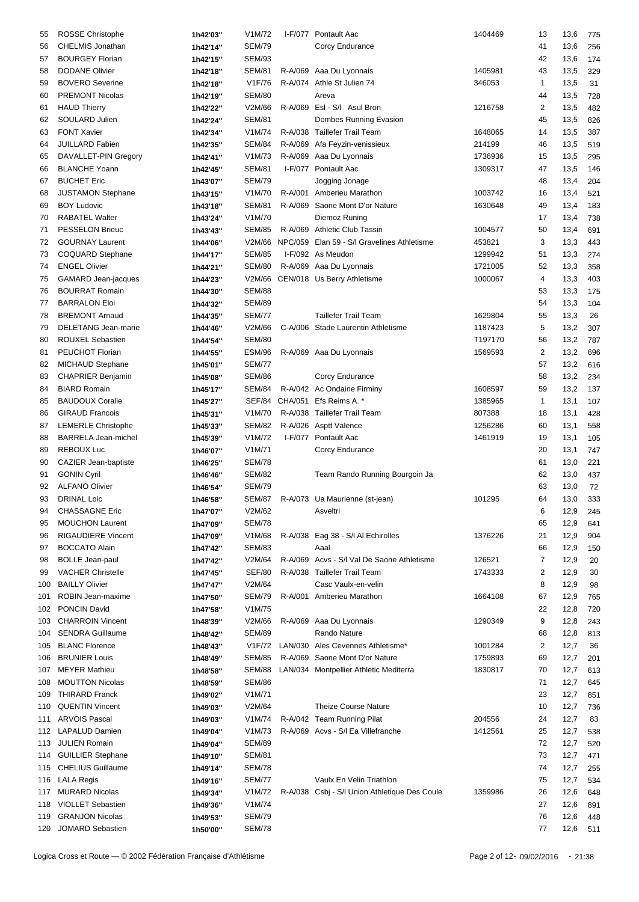| 55  | <b>ROSSE Christophe</b>    | 1h42'03" | V1M/72              | I-F/077 Pontault Aac                          | 1404469 | 13             | 13,6     | 775 |
|-----|----------------------------|----------|---------------------|-----------------------------------------------|---------|----------------|----------|-----|
| 56  | <b>CHELMIS Jonathan</b>    |          | <b>SEM/79</b>       | Corcy Endurance                               |         | 41             |          |     |
|     |                            | 1h42'14" |                     |                                               |         |                | 13,6     | 256 |
| 57  | <b>BOURGEY Florian</b>     | 1h42'15" | <b>SEM/93</b>       |                                               |         | 42             | 13,6     | 174 |
| 58  | <b>DODANE Olivier</b>      | 1h42'18" | <b>SEM/81</b>       | R-A/069 Aaa Du Lyonnais                       | 1405981 | 43             | 13,5     | 329 |
| 59  | <b>BOVERO</b> Severine     | 1h42'18" | V1F/76              | R-A/074 Athle St Julien 74                    | 346053  | 1              | 13,5     | 31  |
| 60  | <b>PREMONT Nicolas</b>     | 1h42'19" | <b>SEM/80</b>       | Areva                                         |         | 44             | 13,5     | 728 |
| 61  | <b>HAUD Thierry</b>        | 1h42'22" | V2M/66              | R-A/069 Esl - S/I Asul Bron                   | 1216758 | 2              | 13,5     | 482 |
| 62  | SOULARD Julien             | 1h42'24" | <b>SEM/81</b>       | Dombes Running Evasion                        |         | 45             | 13,5     | 826 |
| 63  | <b>FONT Xavier</b>         | 1h42'34" | V1M/74              | R-A/038 Taillefer Trail Team                  | 1648065 | 14             | 13,5     | 387 |
| 64  | <b>JUILLARD Fabien</b>     | 1h42'35" | SEM/84              | R-A/069 Afa Feyzin-venissieux                 | 214199  | 46             | 13,5     | 519 |
|     |                            |          |                     |                                               |         |                |          |     |
| 65  | DAVALLET-PIN Gregory       | 1h42'41" | V1M/73              | R-A/069 Aaa Du Lyonnais                       | 1736936 | 15             | 13,5     | 295 |
| 66  | <b>BLANCHE Yoann</b>       | 1h42'45" | <b>SEM/81</b>       | I-F/077 Pontault Aac                          | 1309317 | 47             | 13,5     | 146 |
| 67  | <b>BUCHET Eric</b>         | 1h43'07" | <b>SEM/79</b>       | Jogging Jonage                                |         | 48             | 13,4     | 204 |
| 68  | JUSTAMON Stephane          | 1h43'15" | V1M/70              | R-A/001 Amberieu Marathon                     | 1003742 | 16             | 13,4     | 521 |
| 69  | <b>BOY Ludovic</b>         | 1h43'18" | <b>SEM/81</b>       | R-A/069 Saone Mont D'or Nature                | 1630648 | 49             | 13,4     | 183 |
| 70  | <b>RABATEL Walter</b>      | 1h43'24" | V1M/70              | Diemoz Runing                                 |         | 17             | 13,4     | 738 |
| 71  | PESSELON Brieuc            | 1h43'43" | <b>SEM/85</b>       | R-A/069 Athletic Club Tassin                  | 1004577 | 50             | 13,4     | 691 |
| 72  | <b>GOURNAY Laurent</b>     | 1h44'06" | V2M/66              | NPC/059 Elan 59 - S/I Gravelines Athletisme   | 453821  | 3              | 13,3     | 443 |
| 73  | <b>COQUARD Stephane</b>    | 1h44'17" | <b>SEM/85</b>       | I-F/092 As Meudon                             | 1299942 | 51             | 13,3     | 274 |
|     | <b>ENGEL Olivier</b>       |          |                     |                                               |         |                |          |     |
| 74  |                            | 1h44'21" | <b>SEM/80</b>       | R-A/069 Aaa Du Lyonnais                       | 1721005 | 52             | 13,3     | 358 |
| 75  | GAMARD Jean-jacques        | 1h44'23" | V2M/66              | CEN/018 Us Berry Athletisme                   | 1000067 | 4              | 13,3     | 403 |
| 76  | <b>BOURRAT Romain</b>      | 1h44'30" | <b>SEM/88</b>       |                                               |         | 53             | 13,3     | 175 |
| 77  | <b>BARRALON Eloi</b>       | 1h44'32" | <b>SEM/89</b>       |                                               |         | 54             | 13,3     | 104 |
| 78  | <b>BREMONT Arnaud</b>      | 1h44'35" | <b>SEM/77</b>       | <b>Taillefer Trail Team</b>                   | 1629804 | 55             | 13,3     | 26  |
| 79  | DELETANG Jean-marie        | 1h44'46" | V2M/66              | C-A/006 Stade Laurentin Athletisme            | 1187423 | 5              | 13,2     | 307 |
| 80  | ROUXEL Sebastien           | 1h44'54" | <b>SEM/80</b>       |                                               | T197170 | 56             | 13,2     | 787 |
| 81  | PEUCHOT Florian            | 1h44'55" | <b>ESM/96</b>       | R-A/069 Aaa Du Lyonnais                       | 1569593 | 2              | 13,2     | 696 |
| 82  | <b>MICHAUD Stephane</b>    | 1h45'01" | <b>SEM/77</b>       |                                               |         | 57             | 13,2     | 616 |
| 83  | <b>CHAPRIER Benjamin</b>   |          | <b>SEM/86</b>       | Corcy Endurance                               |         | 58             | 13,2     |     |
|     |                            | 1h45'08" |                     |                                               |         |                |          | 234 |
| 84  | <b>BIARD Romain</b>        | 1h45'17" | SEM/84              | R-A/042 Ac Ondaine Firminy                    | 1608597 | 59             | 13,2     | 137 |
| 85  | <b>BAUDOUX Coralie</b>     | 1h45'27" |                     | SEF/84 CHA/051 Efs Reims A. *                 | 1385965 | 1              | 13,1     | 107 |
| 86  | <b>GIRAUD Francois</b>     | 1h45'31" | V1M/70              | R-A/038 Taillefer Trail Team                  | 807388  | 18             | 13,1     | 428 |
| 87  | <b>LEMERLE Christophe</b>  | 1h45'33" | <b>SEM/82</b>       | R-A/026 Asptt Valence                         | 1256286 | 60             | 13,1     | 558 |
| 88  | <b>BARRELA Jean-michel</b> | 1h45'39" | V1M/72              | I-F/077 Pontault Aac                          | 1461919 | 19             | 13,1     | 105 |
| 89  | <b>REBOUX Luc</b>          | 1h46'07" | V1M/71              | Corcy Endurance                               |         | 20             | 13,1     | 747 |
| 90  | CAZIER Jean-baptiste       | 1h46'25" | <b>SEM/78</b>       |                                               |         | 61             | 13,0     | 221 |
| 91  | <b>GONIN Cyril</b>         | 1h46'46" | <b>SEM/82</b>       | Team Rando Running Bourgoin Ja                |         | 62             | 13,0     | 437 |
| 92  | <b>ALFANO Olivier</b>      |          | <b>SEM/79</b>       |                                               |         | 63             | 13,0     | 72  |
|     |                            | 1h46'54" |                     |                                               |         |                |          |     |
| 93  | <b>DRINAL Loic</b>         | 1h46'58" | <b>SEM/87</b>       | R-A/073 Ua Maurienne (st-jean)                | 101295  | 64             | 13,0     | 333 |
| 94  | <b>CHASSAGNE Eric</b>      | 1h47'07" | V2M/62              | Asveltri                                      |         | 6              | 12,9 245 |     |
| 95  | <b>MOUCHON Laurent</b>     | 1h47'09" | <b>SEM/78</b>       |                                               |         | 65             | 12,9     | 641 |
| 96  | <b>RIGAUDIERE Vincent</b>  | 1h47'09" | V1M/68              | R-A/038 Eag 38 - S/l Al Echirolles            | 1376226 | 21             | 12,9     | 904 |
| 97  | <b>BOCCATO Alain</b>       | 1h47'42" | <b>SEM/83</b>       | Aaal                                          |         | 66             | 12,9     | 150 |
| 98  | <b>BOLLE Jean-paul</b>     | 1h47'42" | V2M/64              | R-A/069 Acvs - S/I Val De Saone Athletisme    | 126521  | 7              | 12,9     | 20  |
| 99  | <b>VACHER Christelle</b>   | 1h47'45" | <b>SEF/80</b>       | R-A/038 Taillefer Trail Team                  | 1743333 | 2              | 12,9     | 30  |
| 100 | <b>BAILLY Olivier</b>      | 1h47'47" | V2M/64              | Casc Vaulx-en-velin                           |         | 8              | 12,9     | 98  |
| 101 | ROBIN Jean-maxime          | 1h47'50" | <b>SEM/79</b>       | R-A/001 Amberieu Marathon                     | 1664108 | 67             | 12,9     | 765 |
|     |                            |          |                     |                                               |         |                |          |     |
| 102 | <b>PONCIN David</b>        | 1h47'58" | V1M/75              |                                               |         | 22             | 12,8     | 720 |
| 103 | <b>CHARROIN Vincent</b>    | 1h48'39" | V2M/66              | R-A/069 Aaa Du Lyonnais                       | 1290349 | 9              | 12,8     | 243 |
| 104 | <b>SENDRA Guillaume</b>    | 1h48'42" | <b>SEM/89</b>       | Rando Nature                                  |         | 68             | 12,8     | 813 |
| 105 | <b>BLANC Florence</b>      | 1h48'43" | V <sub>1</sub> F/72 | LAN/030 Ales Cevennes Athletisme*             | 1001284 | $\overline{c}$ | 12,7     | 36  |
| 106 | <b>BRUNIER Louis</b>       | 1h48'49" | <b>SEM/85</b>       | R-A/069 Saone Mont D'or Nature                | 1759893 | 69             | 12,7     | 201 |
| 107 | <b>MEYER Mathieu</b>       | 1h48'58" | SEM/88              | LAN/034 Montpellier Athletic Mediterra        | 1830817 | 70             | 12,7     | 613 |
| 108 | <b>MOUTTON Nicolas</b>     | 1h48'59" | <b>SEM/86</b>       |                                               |         | 71             | 12,7     | 645 |
|     | 109 THIRARD Franck         | 1h49'02" | V1M/71              |                                               |         | 23             | 12,7     | 851 |
| 110 | <b>QUENTIN Vincent</b>     | 1h49'03" | V2M/64              | <b>Theize Course Nature</b>                   |         | 10             | 12,7     | 736 |
|     |                            |          |                     |                                               |         |                |          |     |
|     | 111 ARVOIS Pascal          | 1h49'03" | V1M/74              | R-A/042 Team Running Pilat                    | 204556  | 24             | 12,7     | 83  |
|     | 112 LAPALUD Damien         | 1h49'04" | V <sub>1</sub> M/73 | R-A/069 Acvs - S/I Ea Villefranche            | 1412561 | 25             | 12,7     | 538 |
|     | 113 JULIEN Romain          | 1h49'04" | <b>SEM/89</b>       |                                               |         | 72             | 12,7     | 520 |
| 114 | <b>GUILLIER Stephane</b>   | 1h49'10" | <b>SEM/81</b>       |                                               |         | 73             | 12,7     | 471 |
|     | 115 CHELIUS Guillaume      | 1h49'14" | <b>SEM/78</b>       |                                               |         | 74             | 12,7     | 255 |
|     | 116 LALA Regis             | 1h49'16" | <b>SEM/77</b>       | Vaulx En Velin Triathlon                      |         | 75             | 12,7     | 534 |
|     | 117 MURARD Nicolas         | 1h49'34" | V1M/72              | R-A/038 Csbj - S/I Union Athletique Des Coule | 1359986 | 26             | 12,6     | 648 |
| 118 | <b>VIOLLET Sebastien</b>   | 1h49'36" | V1M/74              |                                               |         | 27             | 12,6     | 891 |
| 119 | <b>GRANJON Nicolas</b>     |          | <b>SEM/79</b>       |                                               |         | 76             | 12,6     | 448 |
|     |                            | 1h49'53" |                     |                                               |         |                |          |     |
|     | 120 JOMARD Sebastien       | 1h50'00" | <b>SEM/78</b>       |                                               |         | 77             | 12,6     | 511 |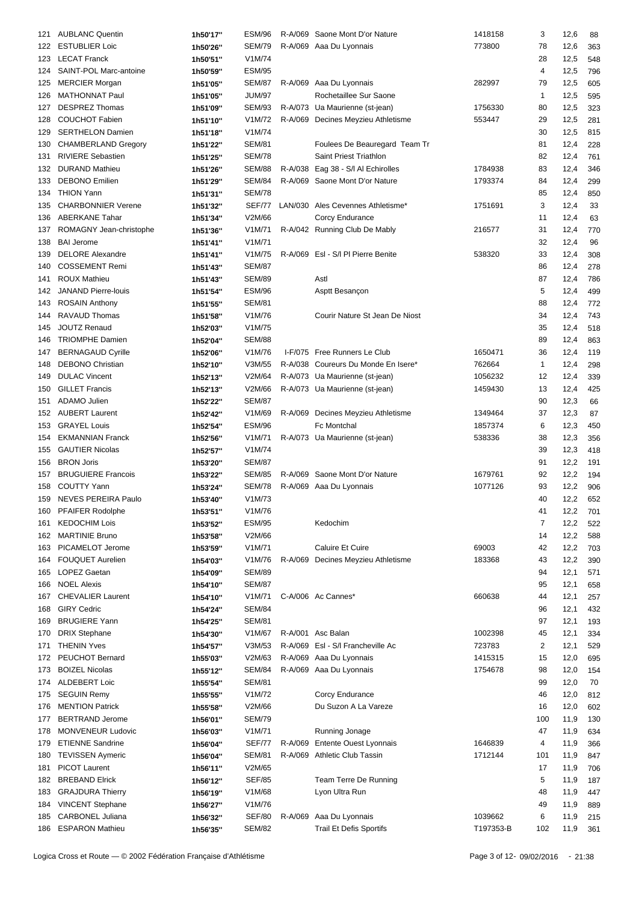| 121 | <b>AUBLANC Quentin</b>     | 1h50'17" | ESM/96        |         | R-A/069 Saone Mont D'or Nature      | 1418158   | 3            | 12,6     | 88  |
|-----|----------------------------|----------|---------------|---------|-------------------------------------|-----------|--------------|----------|-----|
|     | 122 ESTUBLIER Loic         | 1h50'26" | <b>SEM/79</b> |         | R-A/069 Aaa Du Lyonnais             | 773800    | 78           | 12,6     | 363 |
|     |                            |          |               |         |                                     |           |              |          |     |
| 123 | <b>LECAT Franck</b>        | 1h50'51" | V1M/74        |         |                                     |           | 28           | 12,5     | 548 |
| 124 | SAINT-POL Marc-antoine     | 1h50'59" | <b>ESM/95</b> |         |                                     |           | 4            | 12,5     | 796 |
| 125 | <b>MERCIER Morgan</b>      | 1h51'05" | <b>SEM/87</b> |         | R-A/069 Aaa Du Lyonnais             | 282997    | 79           | 12,5     | 605 |
| 126 | <b>MATHONNAT Paul</b>      | 1h51'05" | <b>JUM/97</b> |         | Rochetaillee Sur Saone              |           | 1            | 12,5     | 595 |
| 127 | <b>DESPREZ Thomas</b>      | 1h51'09" | SEM/93        |         | R-A/073 Ua Maurienne (st-jean)      | 1756330   | 80           | 12,5     | 323 |
| 128 | <b>COUCHOT Fabien</b>      | 1h51'10" | V1M/72        |         | R-A/069 Decines Meyzieu Athletisme  | 553447    | 29           | 12,5     | 281 |
| 129 | <b>SERTHELON Damien</b>    | 1h51'18" | V1M/74        |         |                                     |           | 30           | 12,5     | 815 |
| 130 | <b>CHAMBERLAND Gregory</b> | 1h51'22" | <b>SEM/81</b> |         | Foulees De Beauregard Team Tr       |           | 81           | 12,4     | 228 |
|     | <b>RIVIERE Sebastien</b>   | 1h51'25" | <b>SEM/78</b> |         | Saint Priest Triathlon              |           | 82           | 12,4     | 761 |
| 131 | <b>DURAND Mathieu</b>      |          |               |         | Eag 38 - S/I AI Echirolles          |           |              |          |     |
| 132 |                            | 1h51'26" | <b>SEM/88</b> | R-A/038 |                                     | 1784938   | 83           | 12,4     | 346 |
| 133 | <b>DEBONO</b> Emilien      | 1h51'29" | <b>SEM/84</b> |         | R-A/069 Saone Mont D'or Nature      | 1793374   | 84           | 12,4     | 299 |
| 134 | <b>THION Yann</b>          | 1h51'31" | <b>SEM/78</b> |         |                                     |           | 85           | 12,4     | 850 |
| 135 | <b>CHARBONNIER Verene</b>  | 1h51'32" | SEF/77        |         | LAN/030 Ales Cevennes Athletisme*   | 1751691   | 3            | 12,4     | 33  |
| 136 | <b>ABERKANE Tahar</b>      | 1h51'34" | V2M/66        |         | Corcy Endurance                     |           | 11           | 12,4     | 63  |
| 137 | ROMAGNY Jean-christophe    | 1h51'36" | V1M/71        |         | R-A/042 Running Club De Mably       | 216577    | 31           | 12,4     | 770 |
| 138 | <b>BAI Jerome</b>          | 1h51'41" | V1M/71        |         |                                     |           | 32           | 12,4     | 96  |
| 139 | <b>DELORE Alexandre</b>    | 1h51'41" | V1M/75        |         | R-A/069 EsI - S/I PI Pierre Benite  | 538320    | 33           | 12,4     | 308 |
| 140 | <b>COSSEMENT Remi</b>      | 1h51'43" | <b>SEM/87</b> |         |                                     |           | 86           | 12,4     | 278 |
|     |                            |          |               |         |                                     |           |              |          |     |
| 141 | <b>ROUX Mathieu</b>        | 1h51'43" | <b>SEM/89</b> |         | Astl                                |           | 87           | 12,4     | 786 |
| 142 | <b>JANAND Pierre-louis</b> | 1h51'54" | <b>ESM/96</b> |         | Asptt Besançon                      |           | 5            | 12,4     | 499 |
| 143 | <b>ROSAIN Anthony</b>      | 1h51'55" | <b>SEM/81</b> |         |                                     |           | 88           | 12,4     | 772 |
| 144 | <b>RAVAUD Thomas</b>       | 1h51'58" | V1M/76        |         | Courir Nature St Jean De Niost      |           | 34           | 12,4     | 743 |
| 145 | <b>JOUTZ Renaud</b>        | 1h52'03" | V1M/75        |         |                                     |           | 35           | 12,4     | 518 |
| 146 | <b>TRIOMPHE Damien</b>     | 1h52'04" | <b>SEM/88</b> |         |                                     |           | 89           | 12,4     | 863 |
| 147 | <b>BERNAGAUD Cyrille</b>   | 1h52'06" | V1M/76        |         | I-F/075 Free Runners Le Club        | 1650471   | 36           | 12,4     | 119 |
| 148 | <b>DEBONO Christian</b>    | 1h52'10" | V3M/55        |         | R-A/038 Coureurs Du Monde En Isere* | 762664    | $\mathbf{1}$ | 12,4     | 298 |
| 149 | <b>DULAC Vincent</b>       | 1h52'13" | V2M/64        |         | R-A/073 Ua Maurienne (st-jean)      | 1056232   | 12           | 12,4     | 339 |
| 150 | <b>GILLET Francis</b>      |          | V2M/66        |         | R-A/073 Ua Maurienne (st-jean)      | 1459430   | 13           |          |     |
|     |                            | 1h52'13" |               |         |                                     |           |              | 12,4     | 425 |
| 151 | <b>ADAMO Julien</b>        | 1h52'22" | <b>SEM/87</b> |         |                                     |           | 90           | 12,3     | 66  |
|     | 152 AUBERT Laurent         | 1h52'42" | V1M/69        |         | R-A/069 Decines Meyzieu Athletisme  | 1349464   | 37           | 12,3     | 87  |
| 153 | <b>GRAYEL Louis</b>        | 1h52'54" | <b>ESM/96</b> |         | Fc Montchal                         | 1857374   | 6            | 12,3     | 450 |
| 154 | <b>EKMANNIAN Franck</b>    | 1h52'56" | V1M/71        |         | R-A/073 Ua Maurienne (st-jean)      | 538336    | 38           | 12,3     | 356 |
| 155 | <b>GAUTIER Nicolas</b>     | 1h52'57" | V1M/74        |         |                                     |           | 39           | 12,3     | 418 |
| 156 | <b>BRON Joris</b>          | 1h53'20" | <b>SEM/87</b> |         |                                     |           | 91           | 12,2     | 191 |
| 157 | <b>BRUGUIERE Francois</b>  | 1h53'22" | <b>SEM/85</b> |         | R-A/069 Saone Mont D'or Nature      | 1679761   | 92           | 12,2     | 194 |
| 158 | <b>COUTTY Yann</b>         | 1h53'24" | <b>SEM/78</b> |         | R-A/069 Aaa Du Lyonnais             | 1077126   | 93           | 12,2     | 906 |
| 159 | NEVES PEREIRA Paulo        |          | V1M/73        |         |                                     |           | 40           | 12,2     |     |
|     |                            | 1h53'40" |               |         |                                     |           |              |          | 652 |
| 160 | PFAIFER Rodolphe           | 1h53'51" | V1M/76        |         |                                     |           | 41           | 12,2 701 |     |
| 161 | <b>KEDOCHIM Lois</b>       | 1h53'52" | <b>ESM/95</b> |         | Kedochim                            |           | 7            | 12,2     | 522 |
|     | 162 MARTINIE Bruno         | 1h53'58" | V2M/66        |         |                                     |           | 14           | 12,2     | 588 |
| 163 | PICAMELOT Jerome           | 1h53'59" | V1M/71        |         | Caluire Et Cuire                    | 69003     | 42           | 12,2     | 703 |
| 164 | <b>FOUQUET Aurelien</b>    | 1h54'03" | V1M/76        |         | R-A/069 Decines Meyzieu Athletisme  | 183368    | 43           | 12,2     | 390 |
| 165 | LOPEZ Gaetan               | 1h54'09" | <b>SEM/89</b> |         |                                     |           | 94           | 12,1     | 571 |
| 166 | <b>NOEL Alexis</b>         | 1h54'10" | <b>SEM/87</b> |         |                                     |           | 95           | 12,1     | 658 |
| 167 | <b>CHEVALIER Laurent</b>   | 1h54'10" | V1M/71        |         | C-A/006 Ac Cannes*                  | 660638    | 44           | 12,1     | 257 |
| 168 | <b>GIRY Cedric</b>         |          | <b>SEM/84</b> |         |                                     |           | 96           | 12,1     | 432 |
|     |                            | 1h54'24" |               |         |                                     |           |              |          |     |
| 169 | <b>BRUGIERE Yann</b>       | 1h54'25" | <b>SEM/81</b> |         |                                     |           | 97           | 12,1     | 193 |
| 170 | <b>DRIX Stephane</b>       | 1h54'30" | V1M/67        |         | R-A/001 Asc Balan                   | 1002398   | 45           | 12,1     | 334 |
| 171 | <b>THENIN Yves</b>         | 1h54'57" | V3M/53        |         | R-A/069 EsI - S/I Francheville Ac   | 723783    | 2            | 12,1     | 529 |
|     | 172 PEUCHOT Bernard        | 1h55'03" | V2M/63        |         | R-A/069 Aaa Du Lyonnais             | 1415315   | 15           | 12,0     | 695 |
| 173 | <b>BOIZEL Nicolas</b>      | 1h55'12" | <b>SEM/84</b> |         | R-A/069 Aaa Du Lyonnais             | 1754678   | 98           | 12,0     | 154 |
| 174 | <b>ALDEBERT Loic</b>       | 1h55'54" | <b>SEM/81</b> |         |                                     |           | 99           | 12,0     | 70  |
| 175 | <b>SEGUIN Remy</b>         | 1h55'55" | V1M/72        |         | Corcy Endurance                     |           | 46           | 12,0     | 812 |
| 176 | <b>MENTION Patrick</b>     | 1h55'58" | V2M/66        |         | Du Suzon A La Vareze                |           | 16           | 12,0     | 602 |
| 177 | <b>BERTRAND Jerome</b>     | 1h56'01" | <b>SEM/79</b> |         |                                     |           | 100          | 11,9     | 130 |
|     |                            |          |               |         |                                     |           |              |          |     |
| 178 | MONVENEUR Ludovic          | 1h56'03" | V1M/71        |         | Running Jonage                      |           | 47           | 11,9     | 634 |
| 179 | <b>ETIENNE Sandrine</b>    | 1h56'04" | SEF/77        |         | R-A/069 Entente Ouest Lyonnais      | 1646839   | 4            | 11,9     | 366 |
| 180 | <b>TEVISSEN Aymeric</b>    | 1h56'04" | <b>SEM/81</b> |         | R-A/069 Athletic Club Tassin        | 1712144   | 101          | 11,9     | 847 |
| 181 | <b>PICOT Laurent</b>       | 1h56'11" | V2M/65        |         |                                     |           | 17           | 11,9     | 706 |
| 182 | <b>BREBAND Elrick</b>      | 1h56'12" | <b>SEF/85</b> |         | Team Terre De Running               |           | 5            | 11,9     | 187 |
| 183 | <b>GRAJDURA Thierry</b>    | 1h56'19" | V1M/68        |         | Lyon Ultra Run                      |           | 48           | 11,9     | 447 |
| 184 | <b>VINCENT Stephane</b>    | 1h56'27" | V1M/76        |         |                                     |           | 49           | 11,9     | 889 |
| 185 | <b>CARBONEL Juliana</b>    | 1h56'32" | <b>SEF/80</b> | R-A/069 | Aaa Du Lyonnais                     | 1039662   | 6            | 11,9     | 215 |
| 186 | <b>ESPARON Mathieu</b>     | 1h56'35" | <b>SEM/82</b> |         | <b>Trail Et Defis Sportifs</b>      | T197353-B | 102          | 11,9     | 361 |
|     |                            |          |               |         |                                     |           |              |          |     |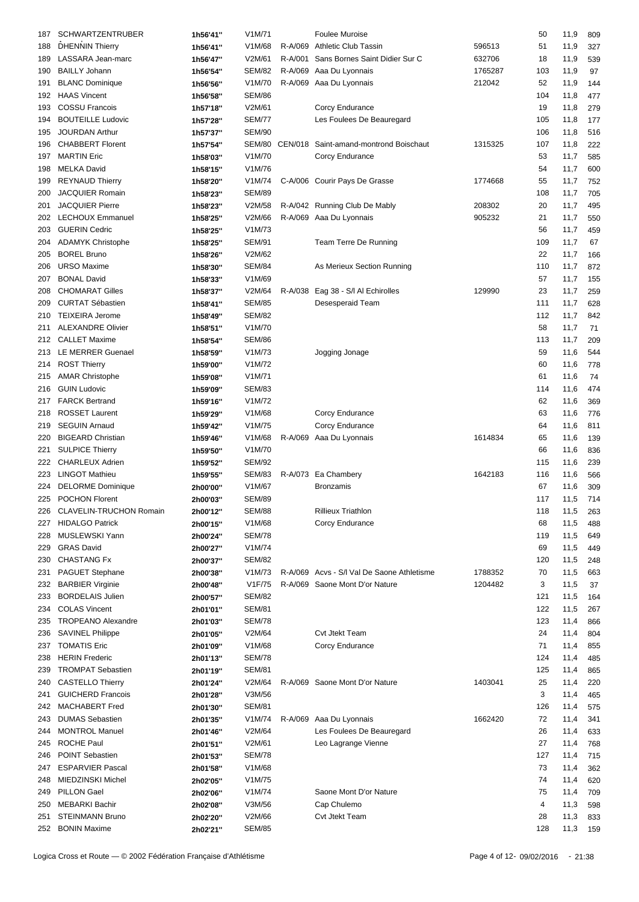| 187 | <b>SCHWARTZENTRUBER</b>   | 1h56'41" | V1M/71              |         | <b>Foulee Muroise</b>                         |         | 50  | 11,9     | 809 |
|-----|---------------------------|----------|---------------------|---------|-----------------------------------------------|---------|-----|----------|-----|
| 188 | <b>DHENNIN Thierry</b>    |          | V1M/68              | R-A/069 | <b>Athletic Club Tassin</b>                   | 596513  | 51  | 11,9     |     |
|     |                           | 1h56'41" |                     |         |                                               |         |     |          | 327 |
| 189 | LASSARA Jean-marc         | 1h56'47" | V2M/61              | R-A/001 | Sans Bornes Saint Didier Sur C                | 632706  | 18  | 11,9     | 539 |
| 190 | <b>BAILLY Johann</b>      | 1h56'54" | <b>SEM/82</b>       |         | R-A/069 Aaa Du Lyonnais                       | 1765287 | 103 | 11,9     | 97  |
| 191 | <b>BLANC Dominique</b>    | 1h56'56" | V1M/70              | R-A/069 | Aaa Du Lyonnais                               | 212042  | 52  | 11,9     | 144 |
| 192 | <b>HAAS Vincent</b>       | 1h56'58" | <b>SEM/86</b>       |         |                                               |         | 104 | 11,8     | 477 |
| 193 | <b>COSSU Francois</b>     | 1h57'18" | V2M/61              |         | Corcy Endurance                               |         | 19  | 11,8     | 279 |
| 194 | <b>BOUTEILLE Ludovic</b>  | 1h57'28" | <b>SEM/77</b>       |         | Les Foulees De Beauregard                     |         | 105 | 11,8     | 177 |
| 195 | JOURDAN Arthur            | 1h57'37" | <b>SEM/90</b>       |         |                                               |         | 106 | 11,8     | 516 |
| 196 | <b>CHABBERT Florent</b>   | 1h57'54" |                     |         | SEM/80 CEN/018 Saint-amand-montrond Boischaut | 1315325 | 107 | 11,8     | 222 |
| 197 | <b>MARTIN Eric</b>        | 1h58'03" | V1M/70              |         | Corcy Endurance                               |         | 53  | 11,7     | 585 |
| 198 | <b>MELKA David</b>        | 1h58'15" | V1M/76              |         |                                               |         | 54  | 11,7     | 600 |
|     |                           |          |                     |         | C-A/006 Courir Pays De Grasse                 | 1774668 |     |          |     |
| 199 | <b>REYNAUD Thierry</b>    | 1h58'20" | V1M/74              |         |                                               |         | 55  | 11,7     | 752 |
| 200 | JACQUIER Romain           | 1h58'23" | <b>SEM/89</b>       |         |                                               |         | 108 | 11,7     | 705 |
| 201 | <b>JACQUIER Pierre</b>    | 1h58'23" | V2M/58              |         | R-A/042 Running Club De Mably                 | 208302  | 20  | 11,7     | 495 |
| 202 | <b>LECHOUX Emmanuel</b>   | 1h58'25" | V2M/66              |         | R-A/069 Aaa Du Lyonnais                       | 905232  | 21  | 11,7     | 550 |
| 203 | <b>GUERIN Cedric</b>      | 1h58'25" | V1M/73              |         |                                               |         | 56  | 11,7     | 459 |
| 204 | <b>ADAMYK Christophe</b>  | 1h58'25" | <b>SEM/91</b>       |         | Team Terre De Running                         |         | 109 | 11,7     | 67  |
| 205 | <b>BOREL Bruno</b>        | 1h58'26" | V2M/62              |         |                                               |         | 22  | 11,7     | 166 |
| 206 | <b>URSO Maxime</b>        | 1h58'30" | <b>SEM/84</b>       |         | As Merieux Section Running                    |         | 110 | 11,7     | 872 |
| 207 | <b>BONAL David</b>        | 1h58'33" | V1M/69              |         |                                               |         | 57  | 11,7     | 155 |
| 208 | <b>CHOMARAT Gilles</b>    | 1h58'37" | V2M/64              | R-A/038 | Eag 38 - S/I AI Echirolles                    | 129990  | 23  | 11,7     | 259 |
| 209 | <b>CURTAT Sébastien</b>   | 1h58'41" | <b>SEM/85</b>       |         | Desesperaid Team                              |         | 111 | 11,7     | 628 |
| 210 | TEIXEIRA Jerome           |          | <b>SEM/82</b>       |         |                                               |         | 112 | 11,7     | 842 |
|     | <b>ALEXANDRE Olivier</b>  | 1h58'49" |                     |         |                                               |         |     |          |     |
| 211 |                           | 1h58'51" | V1M/70              |         |                                               |         | 58  | 11,7     | 71  |
| 212 | <b>CALLET Maxime</b>      | 1h58'54" | <b>SEM/86</b>       |         |                                               |         | 113 | 11,7     | 209 |
| 213 | LE MERRER Guenael         | 1h58'59" | V1M/73              |         | Jogging Jonage                                |         | 59  | 11,6     | 544 |
|     | 214 ROST Thierry          | 1h59'00" | V1M/72              |         |                                               |         | 60  | 11,6     | 778 |
| 215 | <b>AMAR Christophe</b>    | 1h59'08" | V1M/71              |         |                                               |         | 61  | 11,6     | 74  |
| 216 | <b>GUIN Ludovic</b>       | 1h59'09" | <b>SEM/83</b>       |         |                                               |         | 114 | 11,6     | 474 |
| 217 | <b>FARCK Bertrand</b>     | 1h59'16" | V1M/72              |         |                                               |         | 62  | 11,6     | 369 |
| 218 | <b>ROSSET Laurent</b>     | 1h59'29" | V1M/68              |         | Corcy Endurance                               |         | 63  | 11,6     | 776 |
| 219 | <b>SEGUIN Arnaud</b>      | 1h59'42" | V1M/75              |         | Corcy Endurance                               |         | 64  | 11,6     | 811 |
| 220 | <b>BIGEARD Christian</b>  | 1h59'46" | V1M/68              |         | R-A/069 Aaa Du Lyonnais                       | 1614834 | 65  | 11,6     | 139 |
| 221 | <b>SULPICE Thierry</b>    |          | V1M/70              |         |                                               |         | 66  | 11,6     | 836 |
|     | <b>CHARLEUX Adrien</b>    | 1h59'50" |                     |         |                                               |         |     |          |     |
| 222 |                           | 1h59'52" | <b>SEM/92</b>       |         |                                               |         | 115 | 11,6     | 239 |
| 223 | <b>LINGOT Mathieu</b>     | 1h59'55" | <b>SEM/83</b>       |         | R-A/073 Ea Chambery                           | 1642183 | 116 | 11,6     | 566 |
| 224 | <b>DELORME</b> Dominique  | 2h00'00" | V1M/67              |         | <b>Bronzamis</b>                              |         | 67  | 11,6     | 309 |
| 225 | <b>POCHON Florent</b>     | 2h00'03" | <b>SEM/89</b>       |         |                                               |         | 117 | 11,5     | 714 |
| 226 | CLAVELIN-TRUCHON Romain   | 2h00'12" | <b>SEM/88</b>       |         | <b>Rillieux Triathlon</b>                     |         | 118 | 11,5 263 |     |
|     | 227 HIDALGO Patrick       | 2h00'15" | V1M/68              |         | Corcy Endurance                               |         | 68  | 11,5     | 488 |
| 228 | MUSLEWSKI Yann            | 2h00'24" | <b>SEM/78</b>       |         |                                               |         | 119 | 11,5     | 649 |
| 229 | <b>GRAS David</b>         | 2h00'27" | V1M/74              |         |                                               |         | 69  | 11,5     | 449 |
| 230 | <b>CHASTANG Fx</b>        | 2h00'37" | <b>SEM/82</b>       |         |                                               |         | 120 | 11,5     | 248 |
| 231 | PAGUET Stephane           | 2h00'38" | V1M/73              |         | R-A/069 Acvs - S/I Val De Saone Athletisme    | 1788352 | 70  | 11,5     | 663 |
| 232 | <b>BARBIER Virginie</b>   | 2h00'48" | V <sub>1</sub> F/75 |         | R-A/069 Saone Mont D'or Nature                | 1204482 | 3   | 11,5     | 37  |
| 233 | <b>BORDELAIS Julien</b>   | 2h00'57" | <b>SEM/82</b>       |         |                                               |         | 121 | 11,5     | 164 |
|     |                           |          |                     |         |                                               |         |     |          |     |
| 234 | <b>COLAS Vincent</b>      | 2h01'01" | <b>SEM/81</b>       |         |                                               |         | 122 | 11,5     | 267 |
| 235 | <b>TROPEANO Alexandre</b> | 2h01'03" | <b>SEM/78</b>       |         |                                               |         | 123 | 11,4     | 866 |
| 236 | SAVINEL Philippe          | 2h01'05" | V2M/64              |         | Cvt Jtekt Team                                |         | 24  | 11,4     | 804 |
| 237 | <b>TOMATIS Eric</b>       | 2h01'09" | V1M/68              |         | Corcy Endurance                               |         | 71  | 11,4     | 855 |
| 238 | <b>HERIN Frederic</b>     | 2h01'13" | <b>SEM/78</b>       |         |                                               |         | 124 | 11,4     | 485 |
| 239 | <b>TROMPAT Sebastien</b>  | 2h01'19" | <b>SEM/81</b>       |         |                                               |         | 125 | 11,4     | 865 |
| 240 | <b>CASTELLO Thierry</b>   | 2h01'24" | V2M/64              |         | R-A/069 Saone Mont D'or Nature                | 1403041 | 25  | 11,4     | 220 |
| 241 | <b>GUICHERD Francois</b>  | 2h01'28" | V3M/56              |         |                                               |         | 3   | 11,4     | 465 |
| 242 | <b>MACHABERT Fred</b>     | 2h01'30" | <b>SEM/81</b>       |         |                                               |         | 126 | 11,4     | 575 |
| 243 | <b>DUMAS Sebastien</b>    | 2h01'35" | V1M/74              |         | R-A/069 Aaa Du Lyonnais                       | 1662420 | 72  | 11,4     | 341 |
| 244 | <b>MONTROL Manuel</b>     | 2h01'46" | V2M/64              |         | Les Foulees De Beauregard                     |         | 26  | 11,4     | 633 |
|     | <b>ROCHE Paul</b>         |          |                     |         |                                               |         |     |          |     |
| 245 |                           | 2h01'51" | V2M/61              |         | Leo Lagrange Vienne                           |         | 27  | 11,4     | 768 |
| 246 | <b>POINT Sebastien</b>    | 2h01'53" | <b>SEM/78</b>       |         |                                               |         | 127 | 11,4     | 715 |
| 247 | <b>ESPARVIER Pascal</b>   | 2h01'58" | V1M/68              |         |                                               |         | 73  | 11,4     | 362 |
| 248 | MIEDZINSKI Michel         | 2h02'05" | V1M/75              |         |                                               |         | 74  | 11,4     | 620 |
| 249 | <b>PILLON Gael</b>        | 2h02'06" | V1M/74              |         | Saone Mont D'or Nature                        |         | 75  | 11,4     | 709 |
| 250 | <b>MEBARKI Bachir</b>     | 2h02'08" | V3M/56              |         | Cap Chulemo                                   |         | 4   | 11,3     | 598 |
| 251 | <b>STEINMANN Bruno</b>    | 2h02'20" | V2M/66              |         | <b>Cvt Jtekt Team</b>                         |         | 28  | 11,3     | 833 |
|     | 252 BONIN Maxime          | 2h02'21" | <b>SEM/85</b>       |         |                                               |         | 128 | 11,3     | 159 |
|     |                           |          |                     |         |                                               |         |     |          |     |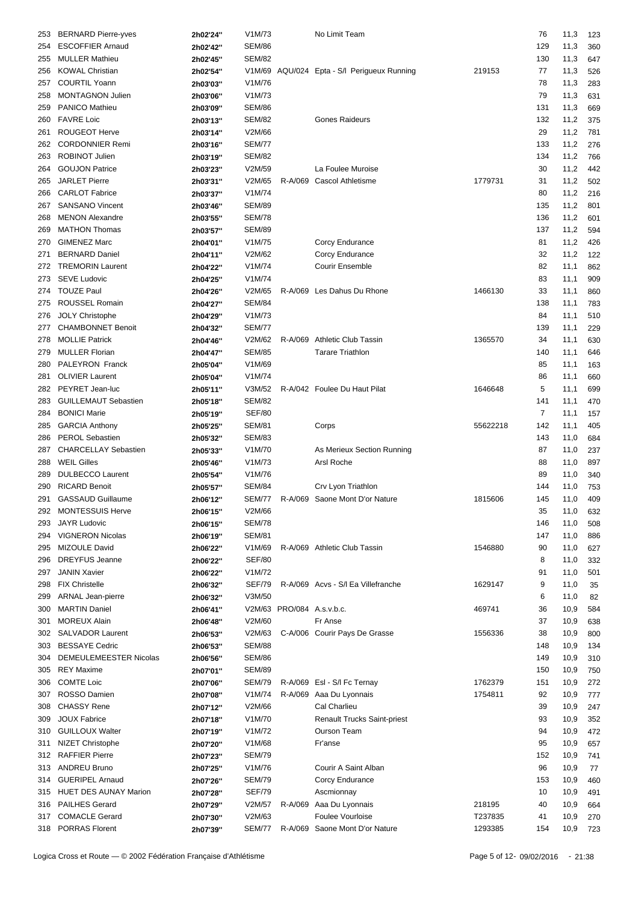| 253 | <b>BERNARD Pierre-yves</b>   | 2h02'24" | V1M/73        |                           | No Limit Team                               |          | 76  | 11,3 | 123 |
|-----|------------------------------|----------|---------------|---------------------------|---------------------------------------------|----------|-----|------|-----|
| 254 | <b>ESCOFFIER Arnaud</b>      | 2h02'42" | <b>SEM/86</b> |                           |                                             |          | 129 | 11,3 |     |
|     |                              |          |               |                           |                                             |          |     |      | 360 |
| 255 | <b>MULLER Mathieu</b>        | 2h02'45" | <b>SEM/82</b> |                           |                                             |          | 130 | 11,3 | 647 |
| 256 | <b>KOWAL Christian</b>       | 2h02'54" |               |                           | V1M/69 AQU/024 Epta - S/I Perigueux Running | 219153   | 77  | 11,3 | 526 |
| 257 | <b>COURTIL Yoann</b>         | 2h03'03" | V1M/76        |                           |                                             |          | 78  | 11,3 | 283 |
| 258 | <b>MONTAGNON Julien</b>      | 2h03'06" | V1M/73        |                           |                                             |          | 79  | 11,3 | 631 |
| 259 | PANICO Mathieu               | 2h03'09" | <b>SEM/86</b> |                           |                                             |          | 131 | 11,3 | 669 |
| 260 | <b>FAVRE Loic</b>            | 2h03'13" | <b>SEM/82</b> |                           | <b>Gones Raideurs</b>                       |          | 132 | 11,2 | 375 |
| 261 | <b>ROUGEOT Herve</b>         | 2h03'14" | V2M/66        |                           |                                             |          | 29  | 11,2 | 781 |
| 262 | <b>CORDONNIER Remi</b>       | 2h03'16" | <b>SEM/77</b> |                           |                                             |          | 133 | 11,2 | 276 |
| 263 | ROBINOT Julien               | 2h03'19" | <b>SEM/82</b> |                           |                                             |          | 134 | 11,2 | 766 |
| 264 | <b>GOUJON Patrice</b>        | 2h03'23" | V2M/59        |                           | La Foulee Muroise                           |          | 30  | 11,2 | 442 |
| 265 | <b>JARLET Pierre</b>         | 2h03'31" | V2M/65        |                           | R-A/069 Cascol Athletisme                   | 1779731  | 31  | 11,2 | 502 |
|     | <b>CARLOT Fabrice</b>        |          | V1M/74        |                           |                                             |          |     |      |     |
| 266 |                              | 2h03'37" |               |                           |                                             |          | 80  | 11,2 | 216 |
| 267 | <b>SANSANO Vincent</b>       | 2h03'46" | <b>SEM/89</b> |                           |                                             |          | 135 | 11,2 | 801 |
| 268 | <b>MENON Alexandre</b>       | 2h03'55" | <b>SEM/78</b> |                           |                                             |          | 136 | 11,2 | 601 |
| 269 | <b>MATHON Thomas</b>         | 2h03'57" | <b>SEM/89</b> |                           |                                             |          | 137 | 11,2 | 594 |
| 270 | <b>GIMENEZ Marc</b>          | 2h04'01" | V1M/75        |                           | Corcy Endurance                             |          | 81  | 11,2 | 426 |
| 271 | <b>BERNARD Daniel</b>        | 2h04'11" | V2M/62        |                           | Corcy Endurance                             |          | 32  | 11,2 | 122 |
| 272 | <b>TREMORIN Laurent</b>      | 2h04'22" | V1M/74        |                           | <b>Courir Ensemble</b>                      |          | 82  | 11,1 | 862 |
| 273 | <b>SEVE Ludovic</b>          | 2h04'25" | V1M/74        |                           |                                             |          | 83  | 11,1 | 909 |
| 274 | <b>TOUZE Paul</b>            | 2h04'26" | V2M/65        |                           | R-A/069 Les Dahus Du Rhone                  | 1466130  | 33  | 11,1 | 860 |
| 275 | <b>ROUSSEL Romain</b>        | 2h04'27" | <b>SEM/84</b> |                           |                                             |          | 138 | 11,1 | 783 |
| 276 | <b>JOLY Christophe</b>       | 2h04'29" | V1M/73        |                           |                                             |          | 84  | 11,1 | 510 |
|     | <b>CHAMBONNET Benoit</b>     |          | <b>SEM/77</b> |                           |                                             |          | 139 |      |     |
| 277 |                              | 2h04'32" |               |                           |                                             |          |     | 11,1 | 229 |
| 278 | <b>MOLLIE Patrick</b>        | 2h04'46" | V2M/62        |                           | R-A/069 Athletic Club Tassin                | 1365570  | 34  | 11,1 | 630 |
| 279 | <b>MULLER Florian</b>        | 2h04'47" | <b>SEM/85</b> |                           | <b>Tarare Triathlon</b>                     |          | 140 | 11,1 | 646 |
| 280 | PALEYRON Franck              | 2h05'04" | V1M/69        |                           |                                             |          | 85  | 11,1 | 163 |
| 281 | <b>OLIVIER Laurent</b>       | 2h05'04" | V1M/74        |                           |                                             |          | 86  | 11,1 | 660 |
| 282 | PEYRET Jean-luc              | 2h05'11" | V3M/52        |                           | R-A/042 Foulee Du Haut Pilat                | 1646648  | 5   | 11,1 | 699 |
| 283 | <b>GUILLEMAUT Sebastien</b>  | 2h05'18" | <b>SEM/82</b> |                           |                                             |          | 141 | 11,1 | 470 |
| 284 | <b>BONICI Marie</b>          | 2h05'19" | <b>SEF/80</b> |                           |                                             |          | 7   | 11,1 | 157 |
| 285 | <b>GARCIA Anthony</b>        | 2h05'25" | <b>SEM/81</b> |                           | Corps                                       | 55622218 | 142 | 11,1 | 405 |
| 286 | <b>PEROL Sebastien</b>       | 2h05'32" | <b>SEM/83</b> |                           |                                             |          | 143 | 11,0 | 684 |
| 287 | <b>CHARCELLAY Sebastien</b>  |          | V1M/70        |                           | As Merieux Section Running                  |          | 87  | 11,0 | 237 |
|     | <b>WEIL Gilles</b>           | 2h05'33" | V1M/73        |                           | Arsl Roche                                  |          |     |      |     |
| 288 |                              | 2h05'46" |               |                           |                                             |          | 88  | 11,0 | 897 |
| 289 | <b>DULBECCO Laurent</b>      | 2h05'54" | V1M/76        |                           |                                             |          | 89  | 11,0 | 340 |
| 290 | <b>RICARD Benoit</b>         | 2h05'57" | <b>SEM/84</b> |                           | Crv Lyon Triathlon                          |          | 144 | 11,0 | 753 |
| 291 | <b>GASSAUD Guillaume</b>     | 2h06'12" | SEM/77        |                           | R-A/069 Saone Mont D'or Nature              | 1815606  | 145 | 11,0 | 409 |
|     | 292 MONTESSUIS Herve         | 2h06'15" | V2M/66        |                           |                                             |          | 35  | 11,0 | 632 |
| 293 | <b>JAYR Ludovic</b>          | 2h06'15" | <b>SEM/78</b> |                           |                                             |          | 146 | 11,0 | 508 |
| 294 | <b>VIGNERON Nicolas</b>      | 2h06'19" | <b>SEM/81</b> |                           |                                             |          | 147 | 11,0 | 886 |
| 295 | MIZOULE David                | 2h06'22" | V1M/69        |                           | R-A/069 Athletic Club Tassin                | 1546880  | 90  | 11,0 | 627 |
| 296 | <b>DREYFUS Jeanne</b>        | 2h06'22" | <b>SEF/80</b> |                           |                                             |          | 8   | 11,0 | 332 |
| 297 | <b>JANIN Xavier</b>          | 2h06'22" | V1M/72        |                           |                                             |          | 91  | 11,0 | 501 |
| 298 | <b>FIX Christelle</b>        |          | SEF/79        |                           | R-A/069 Acvs - S/I Ea Villefranche          | 1629147  | 9   | 11,0 |     |
|     |                              | 2h06'32" |               |                           |                                             |          |     |      | 35  |
| 299 | ARNAL Jean-pierre            | 2h06'32" | V3M/50        |                           |                                             |          | 6   | 11,0 | 82  |
| 300 | <b>MARTIN Daniel</b>         | 2h06'41" |               | V2M/63 PRO/084 A.s.v.b.c. |                                             | 469741   | 36  | 10,9 | 584 |
| 301 | <b>MOREUX Alain</b>          | 2h06'48" | V2M/60        |                           | Fr Anse                                     |          | 37  | 10,9 | 638 |
| 302 | <b>SALVADOR Laurent</b>      | 2h06'53" | V2M/63        |                           | C-A/006 Courir Pays De Grasse               | 1556336  | 38  | 10,9 | 800 |
| 303 | <b>BESSAYE Cedric</b>        | 2h06'53" | <b>SEM/88</b> |                           |                                             |          | 148 | 10,9 | 134 |
| 304 | DEMEULEMEESTER Nicolas       | 2h06'56" | <b>SEM/86</b> |                           |                                             |          | 149 | 10,9 | 310 |
| 305 | <b>REY Maxime</b>            | 2h07'01" | <b>SEM/89</b> |                           |                                             |          | 150 | 10,9 | 750 |
| 306 | <b>COMTE Loic</b>            | 2h07'06" | SEM/79        |                           | R-A/069 EsI - S/I Fc Ternay                 | 1762379  | 151 | 10,9 | 272 |
| 307 | ROSSO Damien                 | 2h07'08" | V1M/74        |                           | R-A/069 Aaa Du Lyonnais                     | 1754811  | 92  | 10,9 | 777 |
| 308 | <b>CHASSY Rene</b>           | 2h07'12" | V2M/66        |                           | Cal Charlieu                                |          | 39  | 10,9 | 247 |
| 309 | <b>JOUX Fabrice</b>          |          | V1M/70        |                           | <b>Renault Trucks Saint-priest</b>          |          | 93  | 10,9 |     |
|     |                              | 2h07'18" |               |                           |                                             |          |     |      | 352 |
| 310 | <b>GUILLOUX Walter</b>       | 2h07'19" | V1M/72        |                           | <b>Ourson Team</b>                          |          | 94  | 10,9 | 472 |
| 311 | <b>NIZET Christophe</b>      | 2h07'20" | V1M/68        |                           | Fr'anse                                     |          | 95  | 10,9 | 657 |
| 312 | <b>RAFFIER Pierre</b>        | 2h07'23" | <b>SEM/79</b> |                           |                                             |          | 152 | 10,9 | 741 |
|     | 313 ANDREU Bruno             | 2h07'25" | V1M/76        |                           | Courir A Saint Alban                        |          | 96  | 10,9 | 77  |
| 314 | <b>GUERIPEL Arnaud</b>       | 2h07'26" | <b>SEM/79</b> |                           | Corcy Endurance                             |          | 153 | 10,9 | 460 |
| 315 | <b>HUET DES AUNAY Marion</b> | 2h07'28" | <b>SEF/79</b> |                           | Ascmionnay                                  |          | 10  | 10,9 | 491 |
| 316 | <b>PAILHES Gerard</b>        | 2h07'29" | V2M/57        | R-A/069                   | Aaa Du Lyonnais                             | 218195   | 40  | 10,9 | 664 |
| 317 | <b>COMACLE Gerard</b>        | 2h07'30" | V2M/63        |                           | Foulee Vourloise                            | T237835  | 41  | 10,9 | 270 |
|     | 318 PORRAS Florent           | 2h07'39" | <b>SEM/77</b> |                           | R-A/069 Saone Mont D'or Nature              | 1293385  | 154 | 10,9 | 723 |
|     |                              |          |               |                           |                                             |          |     |      |     |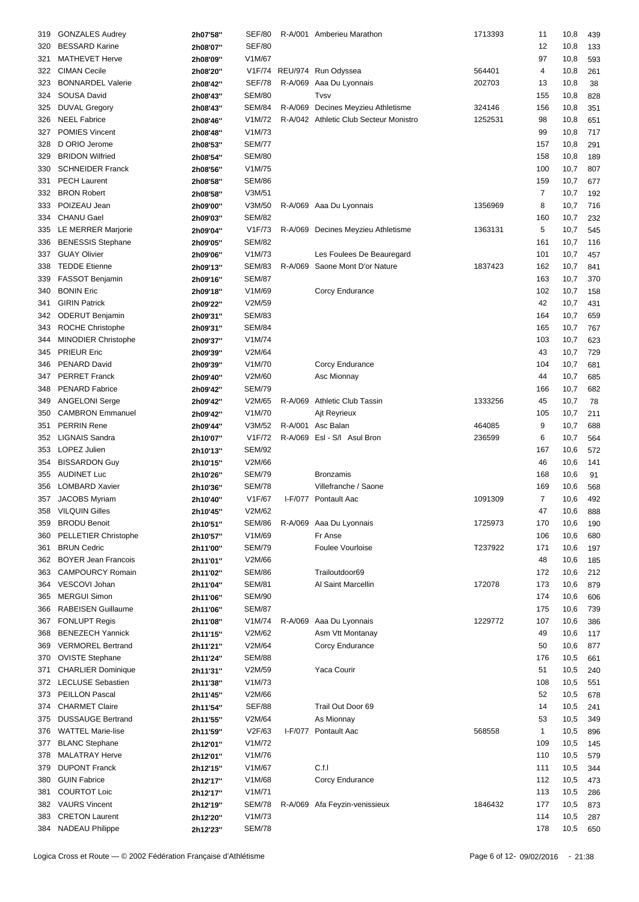| 319 | <b>GONZALES Audrey</b>     | 2h07'58" | SEF/80             |         | R-A/001 Amberieu Marathon              | 1713393 | 11           | 10,8     | 439 |
|-----|----------------------------|----------|--------------------|---------|----------------------------------------|---------|--------------|----------|-----|
| 320 | <b>BESSARD Karine</b>      | 2h08'07" | <b>SEF/80</b>      |         |                                        |         | 12           | 10,8     | 133 |
|     |                            |          |                    |         |                                        |         |              |          |     |
| 321 | <b>MATHEVET Herve</b>      | 2h08'09" | V1M/67             |         |                                        |         | 97           | 10,8     | 593 |
| 322 | <b>CIMAN Cecile</b>        | 2h08'20" |                    |         | V1F/74 REU/974 Run Odyssea             | 564401  | 4            | 10,8     | 261 |
| 323 | <b>BONNARDEL Valerie</b>   | 2h08'42" | <b>SEF/78</b>      |         | R-A/069 Aaa Du Lyonnais                | 202703  | 13           | 10,8     | 38  |
| 324 | SOUSA David                | 2h08'43" | <b>SEM/80</b>      |         | Tvsv                                   |         | 155          | 10,8     | 828 |
| 325 | <b>DUVAL Gregory</b>       | 2h08'43" | <b>SEM/84</b>      |         | R-A/069 Decines Meyzieu Athletisme     | 324146  | 156          | 10,8     | 351 |
| 326 | <b>NEEL Fabrice</b>        | 2h08'46" | V1M/72             |         | R-A/042 Athletic Club Secteur Monistro | 1252531 | 98           | 10,8     | 651 |
| 327 | <b>POMIES Vincent</b>      | 2h08'48" | V1M/73             |         |                                        |         | 99           | 10,8     | 717 |
| 328 | D ORIO Jerome              | 2h08'53" | <b>SEM/77</b>      |         |                                        |         | 157          | 10,8     | 291 |
| 329 | <b>BRIDON Wilfried</b>     | 2h08'54" | <b>SEM/80</b>      |         |                                        |         | 158          | 10,8     | 189 |
| 330 | <b>SCHNEIDER Franck</b>    |          | V1M/75             |         |                                        |         | 100          |          |     |
|     |                            | 2h08'56" |                    |         |                                        |         |              | 10,7     | 807 |
| 331 | <b>PECH Laurent</b>        | 2h08'58" | <b>SEM/86</b>      |         |                                        |         | 159          | 10,7     | 677 |
| 332 | <b>BRON Robert</b>         | 2h08'58" | V3M/51             |         |                                        |         | 7            | 10,7     | 192 |
| 333 | POIZEAU Jean               | 2h09'00" | V3M/50             |         | R-A/069 Aaa Du Lyonnais                | 1356969 | 8            | 10,7     | 716 |
| 334 | <b>CHANU Gael</b>          | 2h09'03" | <b>SEM/82</b>      |         |                                        |         | 160          | 10,7     | 232 |
| 335 | LE MERRER Marjorie         | 2h09'04" | V1F/73             |         | R-A/069 Decines Meyzieu Athletisme     | 1363131 | 5            | 10,7     | 545 |
| 336 | <b>BENESSIS Stephane</b>   | 2h09'05" | <b>SEM/82</b>      |         |                                        |         | 161          | 10,7     | 116 |
| 337 | <b>GUAY Olivier</b>        | 2h09'06" | V1M/73             |         | Les Foulees De Beauregard              |         | 101          | 10,7     | 457 |
| 338 | <b>TEDDE Etienne</b>       | 2h09'13" | <b>SEM/83</b>      | R-A/069 | Saone Mont D'or Nature                 | 1837423 | 162          | 10,7     | 841 |
| 339 | FASSOT Benjamin            | 2h09'16" | <b>SEM/87</b>      |         |                                        |         | 163          | 10,7     | 370 |
| 340 | <b>BONIN Eric</b>          |          | V1M/69             |         |                                        |         | 102          |          |     |
|     |                            | 2h09'18" |                    |         | Corcy Endurance                        |         |              | 10,7     | 158 |
| 341 | <b>GIRIN Patrick</b>       | 2h09'22" | V2M/59             |         |                                        |         | 42           | 10,7     | 431 |
| 342 | <b>ODERUT Benjamin</b>     | 2h09'31" | <b>SEM/83</b>      |         |                                        |         | 164          | 10,7     | 659 |
| 343 | ROCHE Christophe           | 2h09'31" | <b>SEM/84</b>      |         |                                        |         | 165          | 10,7     | 767 |
| 344 | MINODIER Christophe        | 2h09'37" | V1M/74             |         |                                        |         | 103          | 10,7     | 623 |
| 345 | <b>PRIEUR Eric</b>         | 2h09'39" | V2M/64             |         |                                        |         | 43           | 10,7     | 729 |
| 346 | <b>PENARD David</b>        | 2h09'39" | V1M/70             |         | Corcy Endurance                        |         | 104          | 10,7     | 681 |
| 347 | <b>PERRET Franck</b>       | 2h09'40" | V2M/60             |         | Asc Mionnay                            |         | 44           | 10,7     | 685 |
| 348 | <b>PENARD Fabrice</b>      | 2h09'42" | <b>SEM/79</b>      |         |                                        |         | 166          | 10,7     | 682 |
| 349 | <b>ANGELONI Serge</b>      | 2h09'42" | V2M/65             | R-A/069 | Athletic Club Tassin                   | 1333256 | 45           | 10,7     | 78  |
|     | <b>CAMBRON Emmanuel</b>    |          | V1M/70             |         |                                        |         | 105          |          |     |
| 350 |                            | 2h09'42" |                    |         | Ajt Reyrieux                           |         |              | 10,7     | 211 |
| 351 | <b>PERRIN Rene</b>         | 2h09'44" | V3M/52             |         | R-A/001 Asc Balan                      | 464085  | 9            | 10,7     | 688 |
| 352 | <b>LIGNAIS Sandra</b>      | 2h10'07" | V1F/72             |         | R-A/069 Esl - S/I Asul Bron            | 236599  | 6            | 10,7     | 564 |
| 353 | LOPEZ Julien               | 2h10'13" | <b>SEM/92</b>      |         |                                        |         | 167          | 10,6     | 572 |
| 354 | <b>BISSARDON Guy</b>       | 2h10'15" | V2M/66             |         |                                        |         | 46           | 10,6     | 141 |
| 355 | <b>AUDINET Luc</b>         | 2h10'26" | <b>SEM/79</b>      |         | <b>Bronzamis</b>                       |         | 168          | 10,6     | 91  |
| 356 | <b>LOMBARD Xavier</b>      | 2h10'36" | <b>SEM/78</b>      |         | Villefranche / Saone                   |         | 169          | 10,6     | 568 |
|     | 357 JACOBS Myriam          | 2h10'40" | V <sub>1F/67</sub> |         | I-F/077 Pontault Aac                   | 1091309 | 7            | 10,6     | 492 |
|     | 358 VILQUIN Gilles         | 2h10'45" | V2M/62             |         |                                        |         | 47           | 10,6 888 |     |
| 359 | <b>BRODU Benoit</b>        |          | SEM/86             |         | R-A/069 Aaa Du Lyonnais                | 1725973 | 170          | 10,6     | 190 |
|     |                            | 2h10'51" |                    |         | Fr Anse                                |         |              |          |     |
| 360 | PELLETIER Christophe       | 2h10'57" | V1M/69             |         |                                        |         | 106          | 10,6     | 680 |
| 361 | <b>BRUN Cedric</b>         | 2h11'00" | <b>SEM/79</b>      |         | <b>Foulee Vourloise</b>                | T237922 | 171          | 10,6     | 197 |
| 362 | <b>BOYER Jean Francois</b> | 2h11'01" | V2M/66             |         |                                        |         | 48           | 10,6     | 185 |
| 363 | <b>CAMPOURCY Romain</b>    | 2h11'02" | <b>SEM/86</b>      |         | Trailoutdoor69                         |         | 172          | 10,6     | 212 |
| 364 | VESCOVI Johan              | 2h11'04" | <b>SEM/81</b>      |         | Al Saint Marcellin                     | 172078  | 173          | 10,6     | 879 |
| 365 | <b>MERGUI Simon</b>        | 2h11'06" | <b>SEM/90</b>      |         |                                        |         | 174          | 10,6     | 606 |
| 366 | <b>RABEISEN Guillaume</b>  | 2h11'06" | <b>SEM/87</b>      |         |                                        |         | 175          | 10,6     | 739 |
| 367 | <b>FONLUPT Regis</b>       | 2h11'08" | V1M/74             |         | R-A/069 Aaa Du Lyonnais                | 1229772 | 107          | 10,6     | 386 |
| 368 | <b>BENEZECH Yannick</b>    | 2h11'15" | V2M/62             |         | Asm Vtt Montanay                       |         | 49           | 10,6     | 117 |
|     | <b>VERMOREL Bertrand</b>   |          | V2M/64             |         | Corcy Endurance                        |         | 50           |          |     |
| 369 |                            | 2h11'21" |                    |         |                                        |         |              | 10,6     | 877 |
| 370 | <b>OVISTE Stephane</b>     | 2h11'24" | <b>SEM/88</b>      |         |                                        |         | 176          | 10,5     | 661 |
| 371 | <b>CHARLIER Dominique</b>  | 2h11'31" | V2M/59             |         | Yaca Courir                            |         | 51           | 10,5     | 240 |
|     | 372 LECLUSE Sebastien      | 2h11'38" | V1M/73             |         |                                        |         | 108          | 10,5     | 551 |
| 373 | PEILLON Pascal             | 2h11'45" | V2M/66             |         |                                        |         | 52           | 10,5     | 678 |
| 374 | <b>CHARMET Claire</b>      | 2h11'54" | <b>SEF/88</b>      |         | Trail Out Door 69                      |         | 14           | 10,5     | 241 |
| 375 | <b>DUSSAUGE Bertrand</b>   | 2h11'55" | V2M/64             |         | As Mionnay                             |         | 53           | 10,5     | 349 |
| 376 | <b>WATTEL Marie-lise</b>   | 2h11'59" | V2F/63             |         | I-F/077 Pontault Aac                   | 568558  | $\mathbf{1}$ | 10,5     | 896 |
| 377 | <b>BLANC Stephane</b>      | 2h12'01" | V1M/72             |         |                                        |         | 109          | 10,5     | 145 |
| 378 | <b>MALATRAY Herve</b>      |          | V1M/76             |         |                                        |         | 110          |          |     |
|     |                            | 2h12'01" |                    |         |                                        |         |              | 10,5     | 579 |
| 379 | <b>DUPONT Franck</b>       | 2h12'15" | V1M/67             |         | C.f.I                                  |         | 111          | 10,5     | 344 |
| 380 | <b>GUIN Fabrice</b>        | 2h12'17" | V1M/68             |         | Corcy Endurance                        |         | 112          | 10,5     | 473 |
| 381 | <b>COURTOT Loic</b>        | 2h12'17" | V1M/71             |         |                                        |         | 113          | 10,5     | 286 |
| 382 | <b>VAURS Vincent</b>       | 2h12'19" | <b>SEM/78</b>      |         | R-A/069 Afa Feyzin-venissieux          | 1846432 | 177          | 10,5     | 873 |
| 383 | <b>CRETON Laurent</b>      | 2h12'20" | V1M/73             |         |                                        |         | 114          | 10,5     | 287 |
|     | 384 NADEAU Philippe        | 2h12'23" | <b>SEM/78</b>      |         |                                        |         | 178          | 10,5     | 650 |
|     |                            |          |                    |         |                                        |         |              |          |     |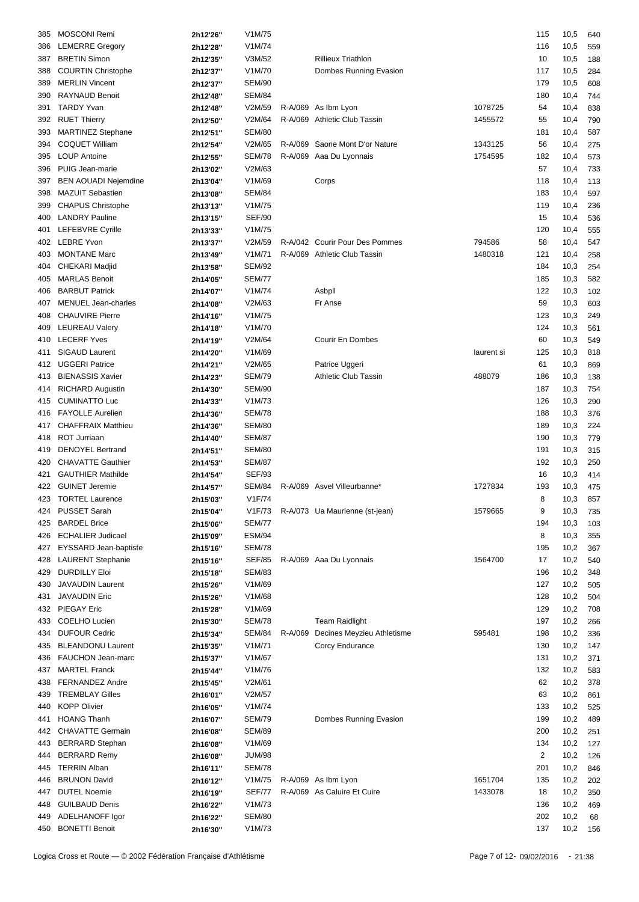| 385 | <b>MOSCONI Remi</b>         | 2h12'26" | V1M/75        |                                    |            | 115            | 10,5     | 640 |
|-----|-----------------------------|----------|---------------|------------------------------------|------------|----------------|----------|-----|
| 386 | <b>LEMERRE Gregory</b>      | 2h12'28" | V1M/74        |                                    |            | 116            | 10,5     | 559 |
| 387 | <b>BRETIN Simon</b>         | 2h12'35" | V3M/52        | <b>Rillieux Triathlon</b>          |            | 10             | 10,5     | 188 |
| 388 | <b>COURTIN Christophe</b>   | 2h12'37" | V1M/70        | Dombes Running Evasion             |            | 117            | 10,5     | 284 |
| 389 | <b>MERLIN Vincent</b>       | 2h12'37" | <b>SEM/90</b> |                                    |            | 179            | 10,5     | 608 |
| 390 | <b>RAYNAUD Benoit</b>       |          | <b>SEM/84</b> |                                    |            | 180            |          |     |
|     |                             | 2h12'48" |               |                                    |            |                | 10,4     | 744 |
| 391 | <b>TARDY Yvan</b>           | 2h12'48" | V2M/59        | R-A/069 As Ibm Lyon                | 1078725    | 54             | 10,4     | 838 |
| 392 | <b>RUET Thierry</b>         | 2h12'50" | V2M/64        | R-A/069 Athletic Club Tassin       | 1455572    | 55             | 10,4     | 790 |
| 393 | <b>MARTINEZ Stephane</b>    | 2h12'51" | <b>SEM/80</b> |                                    |            | 181            | 10,4     | 587 |
| 394 | <b>COQUET William</b>       | 2h12'54" | V2M/65        | R-A/069 Saone Mont D'or Nature     | 1343125    | 56             | 10,4     | 275 |
| 395 | <b>LOUP Antoine</b>         | 2h12'55" | <b>SEM/78</b> | R-A/069 Aaa Du Lyonnais            | 1754595    | 182            | 10,4     | 573 |
| 396 | PUIG Jean-marie             | 2h13'02" | V2M/63        |                                    |            | 57             | 10,4     | 733 |
| 397 | <b>BEN AOUADI Nejemdine</b> | 2h13'04" | V1M/69        | Corps                              |            | 118            | 10,4     | 113 |
| 398 | <b>MAZUIT Sebastien</b>     | 2h13'08" | <b>SEM/84</b> |                                    |            | 183            | 10,4     | 597 |
| 399 | <b>CHAPUS Christophe</b>    | 2h13'13" | V1M/75        |                                    |            | 119            | 10,4     | 236 |
| 400 | <b>LANDRY Pauline</b>       | 2h13'15" | <b>SEF/90</b> |                                    |            | 15             | 10,4     | 536 |
| 401 | LEFEBVRE Cyrille            | 2h13'33" | V1M/75        |                                    |            | 120            | 10,4     | 555 |
| 402 | <b>LEBRE Yvon</b>           |          | V2M/59        | R-A/042 Courir Pour Des Pommes     | 794586     | 58             | 10,4     | 547 |
|     | <b>MONTANE Marc</b>         | 2h13'37" |               |                                    | 1480318    |                |          |     |
| 403 |                             | 2h13'49" | V1M/71        | R-A/069 Athletic Club Tassin       |            | 121            | 10,4     | 258 |
| 404 | <b>CHEKARI Madjid</b>       | 2h13'58" | <b>SEM/92</b> |                                    |            | 184            | 10,3     | 254 |
| 405 | <b>MARLAS Benoit</b>        | 2h14'05" | <b>SEM/77</b> |                                    |            | 185            | 10,3     | 582 |
| 406 | <b>BARBUT Patrick</b>       | 2h14'07" | V1M/74        | Asbpll                             |            | 122            | 10,3     | 102 |
| 407 | <b>MENUEL Jean-charles</b>  | 2h14'08" | V2M/63        | Fr Anse                            |            | 59             | 10,3     | 603 |
| 408 | <b>CHAUVIRE Pierre</b>      | 2h14'16" | V1M/75        |                                    |            | 123            | 10,3     | 249 |
| 409 | <b>LEUREAU Valery</b>       | 2h14'18" | V1M/70        |                                    |            | 124            | 10,3     | 561 |
| 410 | <b>LECERF Yves</b>          | 2h14'19" | V2M/64        | Courir En Dombes                   |            | 60             | 10,3     | 549 |
| 411 | SIGAUD Laurent              | 2h14'20" | V1M/69        |                                    | laurent si | 125            | 10,3     | 818 |
| 412 | <b>UGGERI Patrice</b>       | 2h14'21" | V2M/65        | Patrice Uggeri                     |            | 61             | 10,3     | 869 |
| 413 | <b>BIENASSIS Xavier</b>     |          | <b>SEM/79</b> | <b>Athletic Club Tassin</b>        | 488079     | 186            | 10,3     | 138 |
|     |                             | 2h14'23" | <b>SEM/90</b> |                                    |            |                |          |     |
| 414 | <b>RICHARD Augustin</b>     | 2h14'30" |               |                                    |            | 187            | 10,3     | 754 |
| 415 | <b>CUMINATTO Luc</b>        | 2h14'33" | V1M/73        |                                    |            | 126            | 10,3     | 290 |
| 416 | <b>FAYOLLE Aurelien</b>     | 2h14'36" | <b>SEM/78</b> |                                    |            | 188            | 10,3     | 376 |
| 417 | <b>CHAFFRAIX Matthieu</b>   | 2h14'36" | <b>SEM/80</b> |                                    |            | 189            | 10,3     | 224 |
| 418 | ROT Jurriaan                | 2h14'40" | <b>SEM/87</b> |                                    |            | 190            | 10,3     | 779 |
| 419 | <b>DENOYEL Bertrand</b>     | 2h14'51" | <b>SEM/80</b> |                                    |            | 191            | 10,3     | 315 |
| 420 | <b>CHAVATTE Gauthier</b>    | 2h14'53" | <b>SEM/87</b> |                                    |            | 192            | 10,3     | 250 |
| 421 | <b>GAUTHIER Mathilde</b>    | 2h14'54" | <b>SEF/93</b> |                                    |            | 16             | 10,3     | 414 |
| 422 | <b>GUINET Jeremie</b>       | 2h14'57" | SEM/84        | R-A/069 Asvel Villeurbanne*        | 1727834    | 193            | 10,3     | 475 |
|     | 423 TORTEL Laurence         | 2h15'03" | V1F/74        |                                    |            | 8              | 10,3     | 857 |
|     | 424 PUSSET Sarah            | 2h15'04" | V1F/73        | R-A/073 Ua Maurienne (st-jean)     | 1579665    | 9              | 10,3 735 |     |
| 425 | <b>BARDEL Brice</b>         |          | <b>SEM/77</b> |                                    |            | 194            |          |     |
|     |                             | 2h15'06" |               |                                    |            |                | 10,3     | 103 |
| 426 | <b>ECHALIER Judicael</b>    | 2h15'09" | <b>ESM/94</b> |                                    |            | 8              | 10,3     | 355 |
| 427 | EYSSARD Jean-baptiste       | 2h15'16" | <b>SEM/78</b> |                                    |            | 195            | 10,2     | 367 |
| 428 | <b>LAURENT Stephanie</b>    | 2h15'16" | SEF/85        | R-A/069 Aaa Du Lyonnais            | 1564700    | 17             | 10,2     | 540 |
| 429 | <b>DURDILLY Eloi</b>        | 2h15'18" | <b>SEM/83</b> |                                    |            | 196            | 10,2     | 348 |
| 430 | <b>JAVAUDIN Laurent</b>     | 2h15'26" | V1M/69        |                                    |            | 127            | 10,2     | 505 |
| 431 | <b>JAVAUDIN Eric</b>        | 2h15'26" | V1M/68        |                                    |            | 128            | 10,2     | 504 |
| 432 | PIEGAY Eric                 | 2h15'28" | V1M/69        |                                    |            | 129            | 10,2     | 708 |
| 433 | <b>COELHO Lucien</b>        | 2h15'30" | <b>SEM/78</b> | <b>Team Raidlight</b>              |            | 197            | 10,2     | 266 |
| 434 | <b>DUFOUR Cedric</b>        | 2h15'34" | SEM/84        | R-A/069 Decines Meyzieu Athletisme | 595481     | 198            | 10,2     | 336 |
| 435 | <b>BLEANDONU Laurent</b>    | 2h15'35" | V1M/71        | Corcy Endurance                    |            | 130            | 10,2     | 147 |
| 436 | <b>FAUCHON Jean-marc</b>    | 2h15'37" | V1M/67        |                                    |            | 131            | 10,2     | 371 |
|     | <b>MARTEL Franck</b>        |          | V1M/76        |                                    |            | 132            | 10,2     |     |
| 437 |                             | 2h15'44" |               |                                    |            |                |          | 583 |
| 438 | <b>FERNANDEZ Andre</b>      | 2h15'45" | V2M/61        |                                    |            | 62             | 10,2     | 378 |
| 439 | <b>TREMBLAY Gilles</b>      | 2h16'01" | V2M/57        |                                    |            | 63             | 10,2     | 861 |
| 440 | <b>KOPP Olivier</b>         | 2h16'05" | V1M/74        |                                    |            | 133            | 10,2     | 525 |
| 441 | <b>HOANG Thanh</b>          | 2h16'07" | <b>SEM/79</b> | Dombes Running Evasion             |            | 199            | 10,2     | 489 |
| 442 | <b>CHAVATTE Germain</b>     | 2h16'08" | <b>SEM/89</b> |                                    |            | 200            | 10,2     | 251 |
| 443 | <b>BERRARD Stephan</b>      | 2h16'08" | V1M/69        |                                    |            | 134            | 10,2     | 127 |
| 444 | <b>BERRARD Remy</b>         | 2h16'08" | <b>JUM/98</b> |                                    |            | $\overline{2}$ | 10,2     | 126 |
| 445 | <b>TERRIN Alban</b>         | 2h16'11" | <b>SEM/78</b> |                                    |            | 201            | 10,2     | 846 |
| 446 | <b>BRUNON David</b>         | 2h16'12" | V1M/75        | R-A/069 As Ibm Lyon                | 1651704    | 135            | 10,2     | 202 |
| 447 | <b>DUTEL Noemie</b>         |          | SEF/77        | R-A/069 As Caluire Et Cuire        | 1433078    | 18             | 10,2     | 350 |
|     |                             | 2h16'19" |               |                                    |            |                |          |     |
| 448 | <b>GUILBAUD Denis</b>       | 2h16'22" | V1M/73        |                                    |            | 136            | 10,2     | 469 |
| 449 | ADELHANOFF Igor             | 2h16'22" | <b>SEM/80</b> |                                    |            | 202            | 10,2     | 68  |
|     | 450 BONETTI Benoit          | 2h16'30" | V1M/73        |                                    |            | 137            | 10,2     | 156 |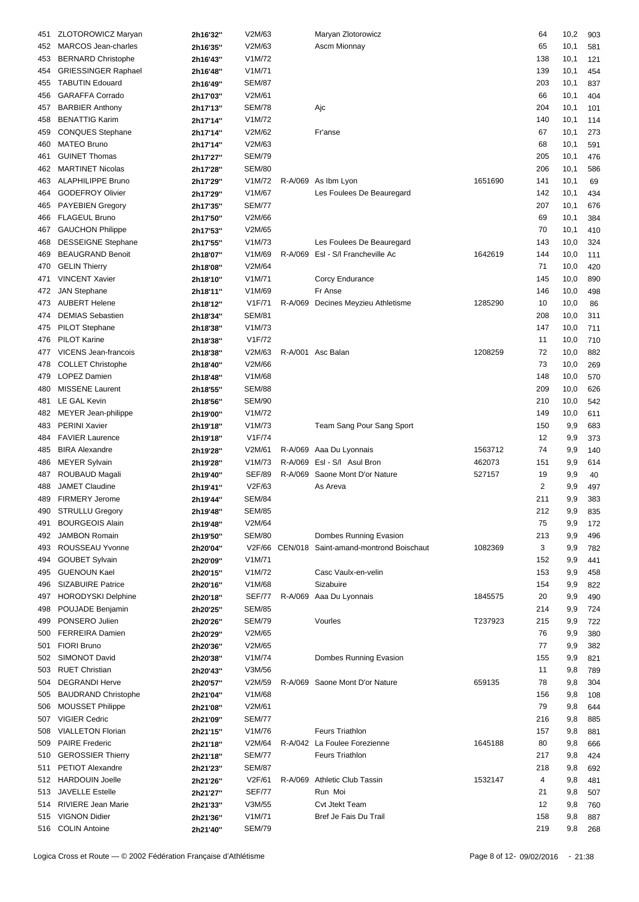| 451 | <b>ZLOTOROWICZ Maryan</b>  | 2h16'32" | V2M/63        | Maryan Zlotorowicz                            |         | 64  | 10,2 | 903 |
|-----|----------------------------|----------|---------------|-----------------------------------------------|---------|-----|------|-----|
| 452 | <b>MARCOS</b> Jean-charles | 2h16'35" | V2M/63        | <b>Ascm Mionnay</b>                           |         | 65  | 10,1 | 581 |
| 453 | <b>BERNARD Christophe</b>  | 2h16'43" | V1M/72        |                                               |         | 138 | 10,1 | 121 |
|     | <b>GRIESSINGER Raphael</b> |          | V1M/71        |                                               |         | 139 | 10,1 |     |
| 454 |                            | 2h16'48" |               |                                               |         |     |      | 454 |
| 455 | <b>TABUTIN Edouard</b>     | 2h16'49" | <b>SEM/87</b> |                                               |         | 203 | 10,1 | 837 |
| 456 | <b>GARAFFA Corrado</b>     | 2h17'03" | V2M/61        |                                               |         | 66  | 10,1 | 404 |
| 457 | <b>BARBIER Anthony</b>     | 2h17'13" | <b>SEM/78</b> | Ajc                                           |         | 204 | 10,1 | 101 |
| 458 | <b>BENATTIG Karim</b>      | 2h17'14" | V1M/72        |                                               |         | 140 | 10,1 | 114 |
| 459 | <b>CONQUES Stephane</b>    | 2h17'14" | V2M/62        | Fr'anse                                       |         | 67  | 10,1 | 273 |
| 460 | <b>MATEO Bruno</b>         | 2h17'14" | V2M/63        |                                               |         | 68  | 10,1 | 591 |
| 461 | <b>GUINET Thomas</b>       | 2h17'27" | <b>SEM/79</b> |                                               |         | 205 | 10,1 | 476 |
| 462 | <b>MARTINET Nicolas</b>    | 2h17'28" | <b>SEM/80</b> |                                               |         | 206 | 10,1 | 586 |
| 463 | <b>ALAPHILIPPE Bruno</b>   | 2h17'29" | V1M/72        | R-A/069 As Ibm Lyon                           | 1651690 | 141 | 10,1 | 69  |
| 464 | <b>GODEFROY Olivier</b>    | 2h17'29" | V1M/67        | Les Foulees De Beauregard                     |         | 142 | 10,1 | 434 |
| 465 | <b>PAYEBIEN Gregory</b>    | 2h17'35" | <b>SEM/77</b> |                                               |         | 207 | 10,1 | 676 |
|     | <b>FLAGEUL Bruno</b>       |          | V2M/66        |                                               |         | 69  | 10,1 | 384 |
| 466 |                            | 2h17'50" |               |                                               |         |     |      |     |
| 467 | <b>GAUCHON Philippe</b>    | 2h17'53" | V2M/65        |                                               |         | 70  | 10,1 | 410 |
| 468 | <b>DESSEIGNE Stephane</b>  | 2h17'55" | V1M/73        | Les Foulees De Beauregard                     |         | 143 | 10,0 | 324 |
| 469 | <b>BEAUGRAND Benoit</b>    | 2h18'07" | V1M/69        | R-A/069 EsI - S/I Francheville Ac             | 1642619 | 144 | 10,0 | 111 |
| 470 | <b>GELIN Thierry</b>       | 2h18'08" | V2M/64        |                                               |         | 71  | 10,0 | 420 |
| 471 | <b>VINCENT Xavier</b>      | 2h18'10" | V1M/71        | Corcy Endurance                               |         | 145 | 10,0 | 890 |
| 472 | <b>JAN Stephane</b>        | 2h18'11" | V1M/69        | Fr Anse                                       |         | 146 | 10,0 | 498 |
| 473 | <b>AUBERT Helene</b>       | 2h18'12" | V1F/71        | R-A/069 Decines Meyzieu Athletisme            | 1285290 | 10  | 10,0 | 86  |
| 474 | <b>DEMIAS Sebastien</b>    | 2h18'34" | <b>SEM/81</b> |                                               |         | 208 | 10,0 | 311 |
| 475 | PILOT Stephane             | 2h18'38" | V1M/73        |                                               |         | 147 | 10,0 | 711 |
| 476 | <b>PILOT Karine</b>        | 2h18'38" | V1F/72        |                                               |         | 11  | 10,0 | 710 |
| 477 | VICENS Jean-francois       |          | V2M/63        | R-A/001 Asc Balan                             | 1208259 | 72  | 10,0 | 882 |
|     |                            | 2h18'38" |               |                                               |         |     |      |     |
| 478 | <b>COLLET Christophe</b>   | 2h18'40" | V2M/66        |                                               |         | 73  | 10,0 | 269 |
| 479 | <b>LOPEZ Damien</b>        | 2h18'48" | V1M/68        |                                               |         | 148 | 10,0 | 570 |
| 480 | <b>MISSENE Laurent</b>     | 2h18'55" | <b>SEM/88</b> |                                               |         | 209 | 10,0 | 626 |
| 481 | LE GAL Kevin               | 2h18'56" | <b>SEM/90</b> |                                               |         | 210 | 10,0 | 542 |
| 482 | MEYER Jean-philippe        | 2h19'00" | V1M/72        |                                               |         | 149 | 10,0 | 611 |
| 483 | <b>PERINI Xavier</b>       | 2h19'18" | V1M/73        | Team Sang Pour Sang Sport                     |         | 150 | 9,9  | 683 |
| 484 | <b>FAVIER Laurence</b>     | 2h19'18" | V1F/74        |                                               |         | 12  | 9,9  | 373 |
| 485 | <b>BIRA Alexandre</b>      | 2h19'28" | V2M/61        | R-A/069 Aaa Du Lyonnais                       | 1563712 | 74  | 9,9  | 140 |
| 486 | <b>MEYER Sylvain</b>       | 2h19'28" | V1M/73        | R-A/069 EsI - S/I Asul Bron                   | 462073  | 151 | 9,9  | 614 |
| 487 | ROUBAUD Magali             | 2h19'40" | <b>SEF/89</b> | R-A/069 Saone Mont D'or Nature                | 527157  | 19  | 9,9  | 40  |
| 488 | <b>JAMET Claudine</b>      |          | V2F/63        | As Areva                                      |         | 2   | 9,9  | 497 |
|     |                            | 2h19'41" |               |                                               |         |     |      |     |
| 489 | <b>FIRMERY Jerome</b>      | 2h19'44" | <b>SEM/84</b> |                                               |         | 211 | 9,9  | 383 |
|     | 490 STRULLU Gregory        | 2h19'48" | <b>SEM/85</b> |                                               |         | 212 | 9,9  | 835 |
| 491 | <b>BOURGEOIS Alain</b>     | 2h19'48" | V2M/64        |                                               |         | 75  | 9,9  | 172 |
| 492 | <b>JAMBON Romain</b>       | 2h19'50" | <b>SEM/80</b> | Dombes Running Evasion                        |         | 213 | 9,9  | 496 |
| 493 | ROUSSEAU Yvonne            | 2h20'04" |               | V2F/66 CEN/018 Saint-amand-montrond Boischaut | 1082369 | 3   | 9,9  | 782 |
| 494 | <b>GOUBET Sylvain</b>      | 2h20'09" | V1M/71        |                                               |         | 152 | 9,9  | 441 |
| 495 | <b>GUENOUN Kael</b>        | 2h20'15" | V1M/72        | Casc Vaulx-en-velin                           |         | 153 | 9,9  | 458 |
| 496 | <b>SIZABUIRE Patrice</b>   | 2h20'16" | V1M/68        | Sizabuire                                     |         | 154 | 9,9  | 822 |
| 497 | <b>HORODYSKI Delphine</b>  | 2h20'18" | SEF/77        | R-A/069 Aaa Du Lyonnais                       | 1845575 | 20  | 9,9  | 490 |
| 498 | POUJADE Benjamin           | 2h20'25" | <b>SEM/85</b> |                                               |         | 214 | 9,9  | 724 |
| 499 | PONSERO Julien             |          | <b>SEM/79</b> | Vourles                                       | T237923 | 215 | 9,9  |     |
|     |                            | 2h20'26" |               |                                               |         |     |      | 722 |
| 500 | <b>FERREIRA Damien</b>     | 2h20'29" | V2M/65        |                                               |         | 76  | 9,9  | 380 |
| 501 | <b>FIORI Bruno</b>         | 2h20'36" | V2M/65        |                                               |         | 77  | 9,9  | 382 |
| 502 | SIMONOT David              | 2h20'38" | V1M/74        | Dombes Running Evasion                        |         | 155 | 9,9  | 821 |
| 503 | <b>RUET Christian</b>      | 2h20'43" | V3M/56        |                                               |         | 11  | 9,8  | 789 |
| 504 | <b>DEGRANDI Herve</b>      | 2h20'57" | V2M/59        | R-A/069 Saone Mont D'or Nature                | 659135  | 78  | 9,8  | 304 |
| 505 | <b>BAUDRAND Christophe</b> | 2h21'04" | V1M/68        |                                               |         | 156 | 9,8  | 108 |
| 506 | <b>MOUSSET Philippe</b>    | 2h21'08" | V2M/61        |                                               |         | 79  | 9,8  | 644 |
| 507 | <b>VIGIER Cedric</b>       | 2h21'09" | <b>SEM/77</b> |                                               |         | 216 | 9,8  | 885 |
| 508 | <b>VIALLETON Florian</b>   | 2h21'15" | V1M/76        | <b>Feurs Triathlon</b>                        |         | 157 | 9,8  | 881 |
| 509 | <b>PAIRE Frederic</b>      | 2h21'18" | V2M/64        | R-A/042 La Foulee Forezienne                  | 1645188 | 80  | 9,8  | 666 |
|     |                            |          |               |                                               |         |     |      |     |
| 510 | <b>GEROSSIER Thierry</b>   | 2h21'18" | <b>SEM/77</b> | <b>Feurs Triathlon</b>                        |         | 217 | 9,8  | 424 |
| 511 | <b>PETIOT Alexandre</b>    | 2h21'23" | <b>SEM/87</b> |                                               |         | 218 | 9,8  | 692 |
| 512 | <b>HARDOUIN Joelle</b>     | 2h21'26" | V2F/61        | R-A/069 Athletic Club Tassin                  | 1532147 | 4   | 9,8  | 481 |
| 513 | <b>JAVELLE Estelle</b>     | 2h21'27" | <b>SEF/77</b> | Run Moi                                       |         | 21  | 9,8  | 507 |
| 514 | RIVIERE Jean Marie         | 2h21'33" | V3M/55        | Cvt Jtekt Team                                |         | 12  | 9,8  | 760 |
| 515 | <b>VIGNON Didier</b>       | 2h21'36" | V1M/71        | Bref Je Fais Du Trail                         |         | 158 | 9,8  | 887 |
|     | 516 COLIN Antoine          | 2h21'40" | <b>SEM/79</b> |                                               |         | 219 | 9,8  | 268 |
|     |                            |          |               |                                               |         |     |      |     |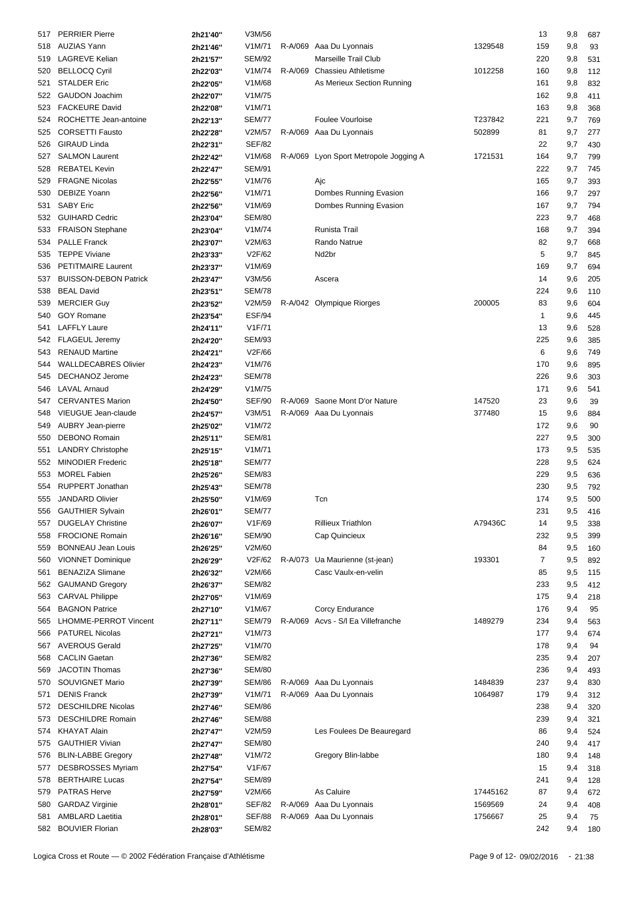| 517 | <b>PERRIER Pierre</b>        | 2h21'40" | V3M/56        |         |                                        |          | 13           | 9,8     | 687 |
|-----|------------------------------|----------|---------------|---------|----------------------------------------|----------|--------------|---------|-----|
|     | AUZIAS Yann                  |          | V1M/71        |         | R-A/069 Aaa Du Lyonnais                | 1329548  | 159          |         |     |
| 518 |                              | 2h21'46" |               |         |                                        |          |              | 9,8     | 93  |
| 519 | <b>LAGREVE Kelian</b>        | 2h21'57" | <b>SEM/92</b> |         | Marseille Trail Club                   |          | 220          | 9,8     | 531 |
| 520 | <b>BELLOCQ Cyril</b>         | 2h22'03" | V1M/74        | R-A/069 | Chassieu Athletisme                    | 1012258  | 160          | 9,8     | 112 |
| 521 | <b>STALDER Eric</b>          | 2h22'05" | V1M/68        |         | As Merieux Section Running             |          | 161          | 9,8     | 832 |
| 522 | <b>GAUDON Joachim</b>        | 2h22'07" | V1M/75        |         |                                        |          | 162          | 9,8     | 411 |
| 523 | <b>FACKEURE David</b>        | 2h22'08" | V1M/71        |         |                                        |          | 163          | 9,8     | 368 |
| 524 | ROCHETTE Jean-antoine        | 2h22'13" | <b>SEM/77</b> |         | <b>Foulee Vourloise</b>                | T237842  | 221          | 9,7     | 769 |
| 525 | <b>CORSETTI Fausto</b>       | 2h22'28" | V2M/57        |         | R-A/069 Aaa Du Lyonnais                | 502899   | 81           | 9,7     | 277 |
| 526 | <b>GIRAUD Linda</b>          | 2h22'31" | <b>SEF/82</b> |         |                                        |          | 22           | 9,7     | 430 |
|     | <b>SALMON Laurent</b>        |          |               |         |                                        |          |              |         |     |
| 527 |                              | 2h22'42" | V1M/68        |         | R-A/069 Lyon Sport Metropole Jogging A | 1721531  | 164          | 9,7     | 799 |
| 528 | <b>REBATEL Kevin</b>         | 2h22'47" | <b>SEM/91</b> |         |                                        |          | 222          | 9,7     | 745 |
| 529 | <b>FRAGNE Nicolas</b>        | 2h22'55" | V1M/76        |         | Ajc                                    |          | 165          | 9,7     | 393 |
| 530 | <b>DEBIZE Yoann</b>          | 2h22'56" | V1M/71        |         | Dombes Running Evasion                 |          | 166          | 9,7     | 297 |
| 531 | <b>SABY Eric</b>             | 2h22'56" | V1M/69        |         | Dombes Running Evasion                 |          | 167          | 9,7     | 794 |
| 532 | <b>GUIHARD Cedric</b>        | 2h23'04" | <b>SEM/80</b> |         |                                        |          | 223          | 9,7     | 468 |
| 533 | <b>FRAISON Stephane</b>      | 2h23'04" | V1M/74        |         | Runista Trail                          |          | 168          | 9,7     | 394 |
| 534 | <b>PALLE Franck</b>          | 2h23'07" | V2M/63        |         | Rando Natrue                           |          | 82           | 9,7     | 668 |
| 535 | <b>TEPPE Viviane</b>         | 2h23'33" | V2F/62        |         | Nd <sub>2</sub> br                     |          | 5            | 9,7     | 845 |
|     | PETITMAIRE Laurent           |          | V1M/69        |         |                                        |          | 169          |         |     |
| 536 |                              | 2h23'37" |               |         |                                        |          |              | 9,7     | 694 |
| 537 | <b>BUISSON-DEBON Patrick</b> | 2h23'47" | V3M/56        |         | Ascera                                 |          | 14           | 9,6     | 205 |
| 538 | <b>BEAL David</b>            | 2h23'51" | <b>SEM/78</b> |         |                                        |          | 224          | 9,6     | 110 |
| 539 | <b>MERCIER Guy</b>           | 2h23'52" | V2M/59        |         | R-A/042 Olympique Riorges              | 200005   | 83           | 9,6     | 604 |
| 540 | <b>GOY Romane</b>            | 2h23'54" | ESF/94        |         |                                        |          | $\mathbf{1}$ | 9,6     | 445 |
| 541 | <b>LAFFLY Laure</b>          | 2h24'11" | V1F/71        |         |                                        |          | 13           | 9,6     | 528 |
| 542 | FLAGEUL Jeremy               | 2h24'20" | <b>SEM/93</b> |         |                                        |          | 225          | 9,6     | 385 |
| 543 | <b>RENAUD Martine</b>        | 2h24'21" | V2F/66        |         |                                        |          | 6            | 9,6     | 749 |
| 544 | <b>WALLDECABRES Olivier</b>  | 2h24'23" | V1M/76        |         |                                        |          | 170          | 9,6     | 895 |
|     | DECHANOZ Jerome              |          | <b>SEM/78</b> |         |                                        |          |              |         |     |
| 545 |                              | 2h24'23" |               |         |                                        |          | 226          | 9,6     | 303 |
| 546 | <b>LAVAL Arnaud</b>          | 2h24'29" | V1M/75        |         |                                        |          | 171          | 9,6     | 541 |
| 547 | <b>CERVANTES Marion</b>      | 2h24'50" | SEF/90        |         | R-A/069 Saone Mont D'or Nature         | 147520   | 23           | 9,6     | 39  |
| 548 | VIEUGUE Jean-claude          | 2h24'57" | V3M/51        |         | R-A/069 Aaa Du Lyonnais                | 377480   | 15           | 9,6     | 884 |
| 549 | AUBRY Jean-pierre            | 2h25'02" | V1M/72        |         |                                        |          | 172          | 9,6     | 90  |
| 550 | <b>DEBONO Romain</b>         | 2h25'11" | <b>SEM/81</b> |         |                                        |          | 227          | 9,5     | 300 |
| 551 | <b>LANDRY Christophe</b>     | 2h25'15" | V1M/71        |         |                                        |          | 173          | 9,5     | 535 |
| 552 | <b>MINODIER Frederic</b>     | 2h25'18" | <b>SEM/77</b> |         |                                        |          | 228          | 9,5     | 624 |
| 553 | <b>MOREL Fabien</b>          | 2h25'26" | <b>SEM/83</b> |         |                                        |          | 229          | 9,5     | 636 |
|     | <b>RUPPERT Jonathan</b>      |          |               |         |                                        |          |              |         |     |
| 554 |                              | 2h25'43" | <b>SEM/78</b> |         |                                        |          | 230          | 9,5     | 792 |
| 555 | <b>JANDARD Olivier</b>       | 2h25'50" | V1M/69        |         | Tcn                                    |          | 174          | 9,5     | 500 |
|     | 556 GAUTHIER Sylvain         | 2h26'01" | <b>SEM/77</b> |         |                                        |          | 231          | 9,5 416 |     |
| 557 | <b>DUGELAY Christine</b>     | 2h26'07" | V1F/69        |         | <b>Rillieux Triathlon</b>              | A79436C  | 14           | 9,5     | 338 |
| 558 | <b>FROCIONE Romain</b>       | 2h26'16" | <b>SEM/90</b> |         | Cap Quincieux                          |          | 232          | 9,5     | 399 |
| 559 | <b>BONNEAU Jean Louis</b>    | 2h26'25" | V2M/60        |         |                                        |          | 84           | 9,5     | 160 |
| 560 | <b>VIONNET Dominique</b>     | 2h26'29" | V2F/62        |         | R-A/073 Ua Maurienne (st-jean)         | 193301   | 7            | 9,5     | 892 |
| 561 | <b>BENAZIZA Slimane</b>      | 2h26'32" | V2M/66        |         | Casc Vaulx-en-velin                    |          | 85           | 9,5     | 115 |
| 562 | <b>GAUMAND Gregory</b>       | 2h26'37" | <b>SEM/82</b> |         |                                        |          | 233          | 9,5     | 412 |
| 563 | <b>CARVAL Philippe</b>       |          | V1M/69        |         |                                        |          | 175          | 9,4     |     |
|     |                              | 2h27'05" |               |         |                                        |          |              |         | 218 |
| 564 | <b>BAGNON Patrice</b>        | 2h27'10" | V1M/67        |         | Corcy Endurance                        |          | 176          | 9,4     | 95  |
| 565 | LHOMME-PERROT Vincent        | 2h27'11" | SEM/79        |         | R-A/069 Acvs - S/I Ea Villefranche     | 1489279  | 234          | 9,4     | 563 |
| 566 | <b>PATUREL Nicolas</b>       | 2h27'21" | V1M/73        |         |                                        |          | 177          | 9,4     | 674 |
| 567 | <b>AVEROUS Gerald</b>        | 2h27'25" | V1M/70        |         |                                        |          | 178          | 9,4     | 94  |
| 568 | <b>CACLIN Gaetan</b>         | 2h27'36" | <b>SEM/82</b> |         |                                        |          | 235          | 9,4     | 207 |
| 569 | <b>JACOTIN Thomas</b>        | 2h27'36" | <b>SEM/80</b> |         |                                        |          | 236          | 9,4     | 493 |
| 570 | SOUVIGNET Mario              | 2h27'39" | SEM/86        |         | R-A/069 Aaa Du Lyonnais                | 1484839  | 237          | 9,4     | 830 |
| 571 | <b>DENIS Franck</b>          | 2h27'39" | V1M/71        |         | R-A/069 Aaa Du Lyonnais                | 1064987  | 179          | 9,4     | 312 |
|     | <b>DESCHILDRE Nicolas</b>    |          | <b>SEM/86</b> |         |                                        |          | 238          | 9,4     | 320 |
| 572 |                              | 2h27'46" |               |         |                                        |          |              |         |     |
| 573 | <b>DESCHILDRE Romain</b>     | 2h27'46" | <b>SEM/88</b> |         |                                        |          | 239          | 9,4     | 321 |
| 574 | <b>KHAYAT Alain</b>          | 2h27'47" | V2M/59        |         | Les Foulees De Beauregard              |          | 86           | 9,4     | 524 |
| 575 | <b>GAUTHIER Vivian</b>       | 2h27'47" | <b>SEM/80</b> |         |                                        |          | 240          | 9,4     | 417 |
| 576 | <b>BLIN-LABBE Gregory</b>    | 2h27'48" | V1M/72        |         | Gregory Blin-labbe                     |          | 180          | 9,4     | 148 |
| 577 | <b>DESBROSSES Myriam</b>     | 2h27'54" | V1F/67        |         |                                        |          | 15           | 9,4     | 318 |
| 578 | <b>BERTHAIRE Lucas</b>       | 2h27'54" | <b>SEM/89</b> |         |                                        |          | 241          | 9,4     | 128 |
| 579 | <b>PATRAS Herve</b>          | 2h27'59" | V2M/66        |         | As Caluire                             | 17445162 | 87           | 9,4     | 672 |
| 580 | <b>GARDAZ Virginie</b>       | 2h28'01" | SEF/82        |         | R-A/069 Aaa Du Lyonnais                | 1569569  | 24           | 9,4     | 408 |
|     |                              |          |               |         |                                        |          |              |         |     |
| 581 | <b>AMBLARD Laetitia</b>      | 2h28'01" | SEF/88        |         | R-A/069 Aaa Du Lyonnais                | 1756667  | 25           | 9,4     | 75  |
|     | 582 BOUVIER Florian          | 2h28'03" | <b>SEM/82</b> |         |                                        |          | 242          | 9,4     | 180 |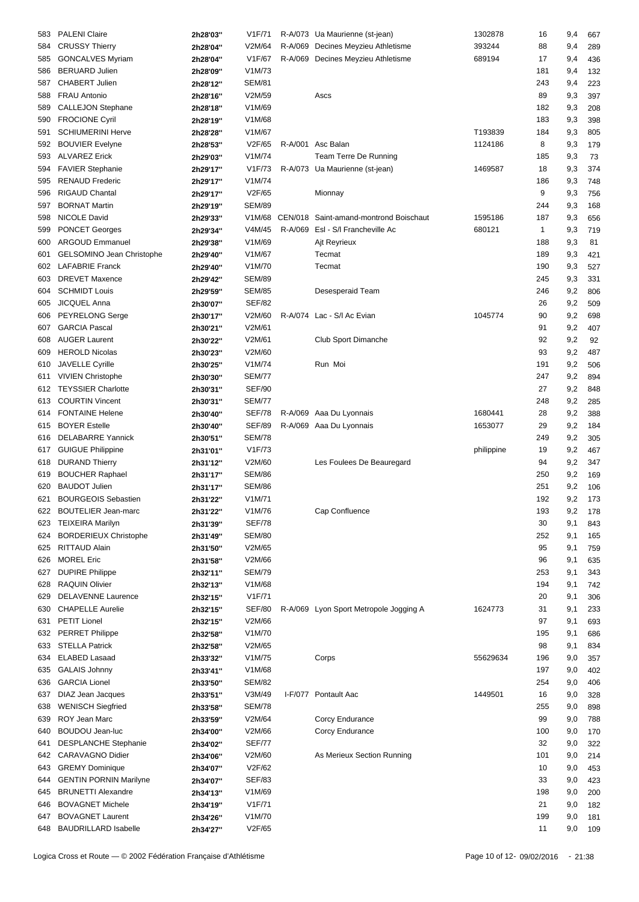| 583 | <b>PALENI Claire</b>          | 2h28'03" | V1F/71              | R-A/073 Ua Maurienne (st-jean)         | 1302878    | 16  | 9,4     | 667 |
|-----|-------------------------------|----------|---------------------|----------------------------------------|------------|-----|---------|-----|
| 584 | <b>CRUSSY Thierry</b>         | 2h28'04" | V2M/64              | R-A/069 Decines Meyzieu Athletisme     | 393244     | 88  | 9,4     | 289 |
| 585 | <b>GONCALVES Myriam</b>       | 2h28'04" | V1F/67              | R-A/069 Decines Meyzieu Athletisme     | 689194     | 17  | 9,4     | 436 |
| 586 | <b>BERUARD Julien</b>         | 2h28'09" | V1M/73              |                                        |            | 181 | 9,4     | 132 |
|     | <b>CHABERT Julien</b>         |          | <b>SEM/81</b>       |                                        |            | 243 |         |     |
| 587 |                               | 2h28'12" |                     |                                        |            |     | 9,4     | 223 |
| 588 | <b>FRAU Antonio</b>           | 2h28'16" | V2M/59              | Ascs                                   |            | 89  | 9,3     | 397 |
| 589 | CALLEJON Stephane             | 2h28'18" | V1M/69              |                                        |            | 182 | 9,3     | 208 |
| 590 | <b>FROCIONE Cyril</b>         | 2h28'19" | V1M/68              |                                        |            | 183 | 9,3     | 398 |
| 591 | <b>SCHIUMERINI Herve</b>      | 2h28'28" | V1M/67              |                                        | T193839    | 184 | 9,3     | 805 |
| 592 | <b>BOUVIER Evelyne</b>        | 2h28'53" | V2F/65              | R-A/001 Asc Balan                      | 1124186    | 8   | 9,3     | 179 |
| 593 | <b>ALVAREZ Erick</b>          | 2h29'03" | V1M/74              | Team Terre De Running                  |            | 185 | 9,3     | 73  |
| 594 | <b>FAVIER Stephanie</b>       | 2h29'17" | V1F/73              | R-A/073 Ua Maurienne (st-jean)         | 1469587    | 18  | 9,3     | 374 |
| 595 | <b>RENAUD Frederic</b>        | 2h29'17" | V1M/74              |                                        |            | 186 | 9,3     | 748 |
| 596 | RIGAUD Chantal                | 2h29'17" | V2F/65              | Mionnay                                |            | 9   | 9,3     | 756 |
| 597 | <b>BORNAT Martin</b>          |          | <b>SEM/89</b>       |                                        |            | 244 |         |     |
|     |                               | 2h29'19" |                     |                                        |            |     | 9,3     | 168 |
| 598 | NICOLE David                  | 2h29'33" | V1M/68              | CEN/018 Saint-amand-montrond Boischaut | 1595186    | 187 | 9,3     | 656 |
| 599 | <b>PONCET Georges</b>         | 2h29'34" | V4M/45              | R-A/069 EsI - S/I Francheville Ac      | 680121     | 1   | 9,3     | 719 |
| 600 | <b>ARGOUD Emmanuel</b>        | 2h29'38" | V1M/69              | Ajt Reyrieux                           |            | 188 | 9,3     | 81  |
| 601 | GELSOMINO Jean Christophe     | 2h29'40" | V1M/67              | Tecmat                                 |            | 189 | 9,3     | 421 |
| 602 | <b>LAFABRIE Franck</b>        | 2h29'40" | V1M/70              | Tecmat                                 |            | 190 | 9,3     | 527 |
| 603 | <b>DREVET Maxence</b>         | 2h29'42" | <b>SEM/89</b>       |                                        |            | 245 | 9,3     | 331 |
| 604 | <b>SCHMIDT Louis</b>          | 2h29'59" | <b>SEM/85</b>       | Desesperaid Team                       |            | 246 | 9,2     | 806 |
| 605 | <b>JICQUEL Anna</b>           | 2h30'07" | <b>SEF/82</b>       |                                        |            | 26  | 9,2     | 509 |
|     |                               |          | V2M/60              | R-A/074 Lac - S/I Ac Evian             | 1045774    | 90  |         |     |
| 606 | PEYRELONG Serge               | 2h30'17" |                     |                                        |            |     | 9,2     | 698 |
| 607 | <b>GARCIA Pascal</b>          | 2h30'21" | V2M/61              |                                        |            | 91  | 9,2     | 407 |
| 608 | <b>AUGER Laurent</b>          | 2h30'22" | V2M/61              | Club Sport Dimanche                    |            | 92  | 9,2     | 92  |
| 609 | <b>HEROLD Nicolas</b>         | 2h30'23" | V2M/60              |                                        |            | 93  | 9,2     | 487 |
| 610 | <b>JAVELLE Cyrille</b>        | 2h30'25" | V1M/74              | Run Moi                                |            | 191 | 9,2     | 506 |
| 611 | <b>VIVIEN Christophe</b>      | 2h30'30" | <b>SEM/77</b>       |                                        |            | 247 | 9,2     | 894 |
| 612 | <b>TEYSSIER Charlotte</b>     | 2h30'31" | <b>SEF/90</b>       |                                        |            | 27  | 9,2     | 848 |
| 613 | <b>COURTIN Vincent</b>        | 2h30'31" | <b>SEM/77</b>       |                                        |            | 248 | 9,2     | 285 |
| 614 | <b>FONTAINE Helene</b>        | 2h30'40" | SEF/78              | R-A/069 Aaa Du Lyonnais                | 1680441    | 28  | 9,2     | 388 |
| 615 | <b>BOYER Estelle</b>          | 2h30'40" | SEF/89              | R-A/069 Aaa Du Lyonnais                | 1653077    | 29  | 9,2     | 184 |
|     |                               |          |                     |                                        |            |     |         |     |
| 616 | <b>DELABARRE Yannick</b>      | 2h30'51" | <b>SEM/78</b>       |                                        |            | 249 | 9,2     | 305 |
| 617 | <b>GUIGUE Philippine</b>      | 2h31'01" | V1F/73              |                                        | philippine | 19  | 9,2     | 467 |
| 618 | <b>DURAND Thierry</b>         | 2h31'12" | V2M/60              | Les Foulees De Beauregard              |            | 94  | 9,2     | 347 |
| 619 | <b>BOUCHER Raphael</b>        | 2h31'17" | <b>SEM/86</b>       |                                        |            | 250 | 9,2     | 169 |
| 620 | <b>BAUDOT Julien</b>          | 2h31'17" | <b>SEM/86</b>       |                                        |            | 251 | 9,2     | 106 |
| 621 | <b>BOURGEOIS Sebastien</b>    | 2h31'22" | V <sub>1</sub> M/71 |                                        |            | 192 | 9,2     | 173 |
| 622 | <b>BOUTELIER Jean-marc</b>    | 2h31'22" | V1M/76              | Cap Confluence                         |            | 193 | 9,2 178 |     |
| 623 | <b>TEIXEIRA Marilyn</b>       | 2h31'39" | <b>SEF/78</b>       |                                        |            | 30  | 9,1     | 843 |
| 624 | <b>BORDERIEUX Christophe</b>  | 2h31'49" | <b>SEM/80</b>       |                                        |            | 252 | 9,1     | 165 |
| 625 | <b>RITTAUD Alain</b>          | 2h31'50" | V2M/65              |                                        |            | 95  | 9,1     | 759 |
|     | <b>MOREL Eric</b>             |          | V2M/66              |                                        |            |     |         |     |
| 626 |                               | 2h31'58" |                     |                                        |            | 96  | 9,1     | 635 |
| 627 | <b>DUPIRE Philippe</b>        | 2h32'11" | <b>SEM/79</b>       |                                        |            | 253 | 9,1     | 343 |
| 628 | <b>RAQUIN Olivier</b>         | 2h32'13" | V1M/68              |                                        |            | 194 | 9,1     | 742 |
| 629 | <b>DELAVENNE Laurence</b>     | 2h32'15" | V1F/71              |                                        |            | 20  | 9,1     | 306 |
| 630 | <b>CHAPELLE Aurelie</b>       | 2h32'15" | <b>SEF/80</b>       | R-A/069 Lyon Sport Metropole Jogging A | 1624773    | 31  | 9,1     | 233 |
| 631 | <b>PETIT Lionel</b>           | 2h32'15" | V2M/66              |                                        |            | 97  | 9,1     | 693 |
| 632 | <b>PERRET Philippe</b>        | 2h32'58" | V1M/70              |                                        |            | 195 | 9,1     | 686 |
| 633 | <b>STELLA Patrick</b>         | 2h32'58" | V2M/65              |                                        |            | 98  | 9,1     | 834 |
| 634 | <b>ELABED Lasaad</b>          | 2h33'32" | V1M/75              | Corps                                  | 55629634   | 196 | 9,0     | 357 |
|     | <b>GALAIS Johnny</b>          |          | V1M/68              |                                        |            | 197 |         |     |
| 635 |                               | 2h33'41" |                     |                                        |            |     | 9,0     | 402 |
| 636 | <b>GARCIA Lionel</b>          | 2h33'50" | <b>SEM/82</b>       |                                        |            | 254 | 9,0     | 406 |
| 637 | DIAZ Jean Jacques             | 2h33'51" | V3M/49              | I-F/077 Pontault Aac                   | 1449501    | 16  | 9,0     | 328 |
| 638 | <b>WENISCH Siegfried</b>      | 2h33'58" | <b>SEM/78</b>       |                                        |            | 255 | 9,0     | 898 |
| 639 | ROY Jean Marc                 | 2h33'59" | V2M/64              | Corcy Endurance                        |            | 99  | 9,0     | 788 |
| 640 | <b>BOUDOU Jean-luc</b>        | 2h34'00" | V2M/66              | Corcy Endurance                        |            | 100 | 9,0     | 170 |
| 641 | <b>DESPLANCHE Stephanie</b>   | 2h34'02" | <b>SEF/77</b>       |                                        |            | 32  | 9,0     | 322 |
| 642 | CARAVAGNO Didier              | 2h34'06" | V2M/60              | As Merieux Section Running             |            | 101 | 9,0     | 214 |
| 643 | <b>GREMY Dominique</b>        | 2h34'07" | V2F/62              |                                        |            | 10  | 9,0     | 453 |
| 644 | <b>GENTIN PORNIN Marilyne</b> | 2h34'07" | <b>SEF/83</b>       |                                        |            | 33  | 9,0     | 423 |
|     |                               |          |                     |                                        |            |     |         |     |
| 645 | <b>BRUNETTI Alexandre</b>     | 2h34'13" | V1M/69              |                                        |            | 198 | 9,0     | 200 |
| 646 | <b>BOVAGNET Michele</b>       | 2h34'19" | V1F/71              |                                        |            | 21  | 9,0     | 182 |
| 647 | <b>BOVAGNET Laurent</b>       | 2h34'26" | V1M/70              |                                        |            | 199 | 9,0     | 181 |
| 648 | <b>BAUDRILLARD Isabelle</b>   | 2h34'27" | V2F/65              |                                        |            | 11  | 9,0     | 109 |
|     |                               |          |                     |                                        |            |     |         |     |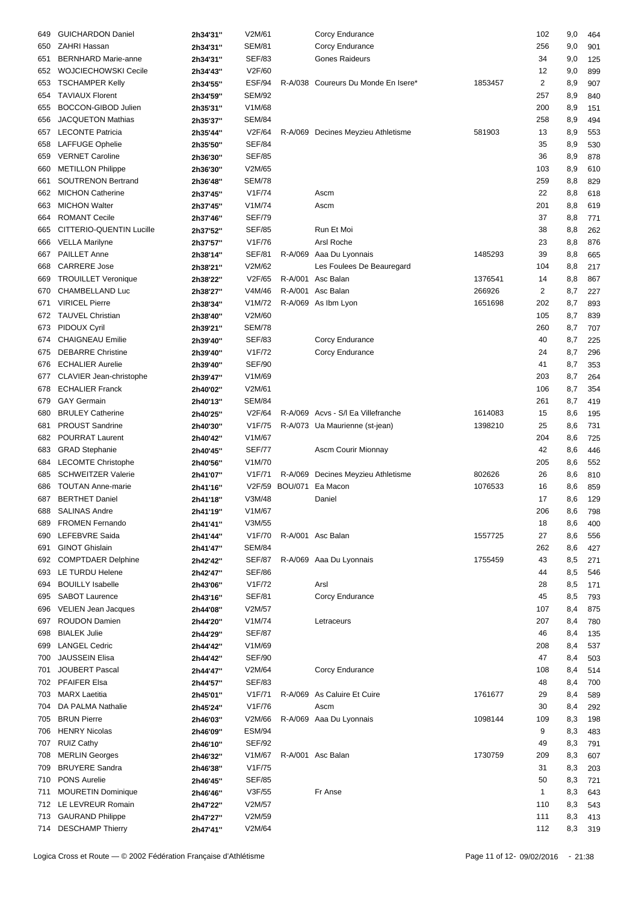| 649 | <b>GUICHARDON Daniel</b>    | 2h34'31" | V2M/61              |                | Corcy Endurance                     |         | 102                     | 9,0     | 464 |
|-----|-----------------------------|----------|---------------------|----------------|-------------------------------------|---------|-------------------------|---------|-----|
| 650 | <b>ZAHRI Hassan</b>         | 2h34'31" | <b>SEM/81</b>       |                | Corcy Endurance                     |         | 256                     | 9,0     | 901 |
|     |                             |          |                     |                |                                     |         |                         |         |     |
| 651 | <b>BERNHARD Marie-anne</b>  | 2h34'31" | <b>SEF/83</b>       |                | Gones Raideurs                      |         | 34                      | 9,0     | 125 |
| 652 | <b>WOJCIECHOWSKI Cecile</b> | 2h34'43" | V2F/60              |                |                                     |         | 12                      | 9,0     | 899 |
| 653 | <b>TSCHAMPER Kelly</b>      | 2h34'55" | ESF/94              |                | R-A/038 Coureurs Du Monde En Isere* | 1853457 | $\overline{\mathbf{c}}$ | 8,9     | 907 |
| 654 | <b>TAVIAUX Florent</b>      | 2h34'59" | <b>SEM/92</b>       |                |                                     |         | 257                     | 8,9     | 840 |
| 655 | <b>BOCCON-GIBOD Julien</b>  | 2h35'31" | V1M/68              |                |                                     |         | 200                     | 8,9     | 151 |
| 656 | <b>JACQUETON Mathias</b>    | 2h35'37" | <b>SEM/84</b>       |                |                                     |         | 258                     | 8,9     | 494 |
| 657 | <b>LECONTE Patricia</b>     | 2h35'44" | V2F/64              |                | R-A/069 Decines Meyzieu Athletisme  | 581903  | 13                      | 8,9     | 553 |
| 658 | <b>LAFFUGE Ophelie</b>      | 2h35'50" | <b>SEF/84</b>       |                |                                     |         | 35                      | 8,9     | 530 |
|     |                             |          |                     |                |                                     |         |                         |         |     |
| 659 | <b>VERNET Caroline</b>      | 2h36'30" | <b>SEF/85</b>       |                |                                     |         | 36                      | 8,9     | 878 |
| 660 | <b>METILLON Philippe</b>    | 2h36'30" | V2M/65              |                |                                     |         | 103                     | 8,9     | 610 |
| 661 | <b>SOUTRENON Bertrand</b>   | 2h36'48" | <b>SEM/78</b>       |                |                                     |         | 259                     | 8,8     | 829 |
| 662 | <b>MICHON Catherine</b>     | 2h37'45" | V1F/74              |                | Ascm                                |         | 22                      | 8,8     | 618 |
| 663 | <b>MICHON Walter</b>        | 2h37'45" | V1M/74              |                | Ascm                                |         | 201                     | 8,8     | 619 |
| 664 | <b>ROMANT Cecile</b>        | 2h37'46" | <b>SEF/79</b>       |                |                                     |         | 37                      | 8,8     | 771 |
|     | CITTERIO-QUENTIN Lucille    |          | <b>SEF/85</b>       |                | Run Et Moi                          |         | 38                      | 8,8     |     |
| 665 |                             | 2h37'52" |                     |                |                                     |         |                         |         | 262 |
| 666 | <b>VELLA Marilyne</b>       | 2h37'57" | V1F/76              |                | Arsl Roche                          |         | 23                      | 8,8     | 876 |
| 667 | <b>PAILLET Anne</b>         | 2h38'14" | <b>SEF/81</b>       |                | R-A/069 Aaa Du Lyonnais             | 1485293 | 39                      | 8,8     | 665 |
| 668 | <b>CARRERE Jose</b>         | 2h38'21" | V2M/62              |                | Les Foulees De Beauregard           |         | 104                     | 8,8     | 217 |
| 669 | <b>TROUILLET Veronique</b>  | 2h38'22" | V2F/65              |                | R-A/001 Asc Balan                   | 1376541 | 14                      | 8,8     | 867 |
| 670 | CHAMBELLAND Luc             | 2h38'27" | V4M/46              |                | R-A/001 Asc Balan                   | 266926  | 2                       | 8,7     | 227 |
| 671 | <b>VIRICEL Pierre</b>       |          | V1M/72              |                | R-A/069 As Ibm Lyon                 | 1651698 | 202                     | 8,7     | 893 |
|     |                             | 2h38'34" |                     |                |                                     |         |                         |         |     |
| 672 | <b>TAUVEL Christian</b>     | 2h38'40" | V2M/60              |                |                                     |         | 105                     | 8,7     | 839 |
| 673 | PIDOUX Cyril                | 2h39'21" | <b>SEM/78</b>       |                |                                     |         | 260                     | 8,7     | 707 |
| 674 | <b>CHAIGNEAU Emilie</b>     | 2h39'40" | <b>SEF/83</b>       |                | Corcy Endurance                     |         | 40                      | 8,7     | 225 |
| 675 | <b>DEBARRE Christine</b>    | 2h39'40" | V1F/72              |                | Corcy Endurance                     |         | 24                      | 8,7     | 296 |
| 676 | <b>ECHALIER Aurelie</b>     | 2h39'40" | <b>SEF/90</b>       |                |                                     |         | 41                      | 8,7     | 353 |
| 677 | CLAVIER Jean-christophe     | 2h39'47" | V1M/69              |                |                                     |         | 203                     | 8,7     | 264 |
|     | <b>ECHALIER Franck</b>      |          | V2M/61              |                |                                     |         | 106                     |         |     |
| 678 |                             | 2h40'02" |                     |                |                                     |         |                         | 8,7     | 354 |
| 679 | <b>GAY Germain</b>          | 2h40'13" | <b>SEM/84</b>       |                |                                     |         | 261                     | 8,7     | 419 |
| 680 | <b>BRULEY Catherine</b>     | 2h40'25" | V2F/64              |                | R-A/069 Acvs - S/I Ea Villefranche  | 1614083 | 15                      | 8,6     | 195 |
| 681 | <b>PROUST Sandrine</b>      | 2h40'30" | V1F/75              |                | R-A/073 Ua Maurienne (st-jean)      | 1398210 | 25                      | 8,6     | 731 |
| 682 | POURRAT Laurent             | 2h40'42" | V1M/67              |                |                                     |         | 204                     | 8,6     | 725 |
| 683 | <b>GRAD Stephanie</b>       | 2h40'45" | <b>SEF/77</b>       |                | Ascm Courir Mionnay                 |         | 42                      | 8,6     | 446 |
|     |                             |          | V1M/70              |                |                                     |         | 205                     |         |     |
| 684 | <b>LECOMTE Christophe</b>   | 2h40'56" |                     |                |                                     |         |                         | 8,6     | 552 |
| 685 | <b>SCHWEITZER Valerie</b>   | 2h41'07" | V <sub>1</sub> F/71 |                | R-A/069 Decines Meyzieu Athletisme  | 802626  | 26                      | 8,6     | 810 |
| 686 | <b>TOUTAN Anne-marie</b>    | 2h41'16" | V2F/59              | <b>BOU/071</b> | Ea Macon                            | 1076533 | 16                      | 8,6     | 859 |
| 687 | <b>BERTHET Daniel</b>       | 2h41'18" | V3M/48              |                | Daniel                              |         | 17                      | 8,6     | 129 |
|     | 688 SALINAS Andre           | 2h41'19" | V1M/67              |                |                                     |         | 206                     | 8,6 798 |     |
| 689 | <b>FROMEN Fernando</b>      | 2h41'41" | V3M/55              |                |                                     |         | 18                      | 8,6     | 400 |
| 690 | LEFEBVRE Saida              | 2h41'44" | V1F/70              |                | R-A/001 Asc Balan                   | 1557725 | 27                      | 8,6     | 556 |
|     |                             |          |                     |                |                                     |         |                         |         |     |
| 691 | <b>GINOT Ghislain</b>       | 2h41'47" | <b>SEM/84</b>       |                |                                     |         | 262                     | 8,6     | 427 |
| 692 | <b>COMPTDAER Delphine</b>   | 2h42'42" | <b>SEF/87</b>       |                | R-A/069 Aaa Du Lyonnais             | 1755459 | 43                      | 8,5     | 271 |
| 693 | LE TURDU Helene             | 2h42'47" | <b>SEF/86</b>       |                |                                     |         | 44                      | 8,5     | 546 |
| 694 | <b>BOUILLY Isabelle</b>     | 2h43'06" | V1F/72              |                | Arsl                                |         | 28                      | 8,5     | 171 |
| 695 | <b>SABOT Laurence</b>       | 2h43'16" | <b>SEF/81</b>       |                | Corcy Endurance                     |         | 45                      | 8,5     | 793 |
| 696 | <b>VELIEN Jean Jacques</b>  | 2h44'08" | V2M/57              |                |                                     |         | 107                     | 8,4     | 875 |
| 697 | ROUDON Damien               |          | V1M/74              |                | Letraceurs                          |         | 207                     |         |     |
|     |                             | 2h44'20" |                     |                |                                     |         |                         | 8,4     | 780 |
| 698 | <b>BIALEK Julie</b>         | 2h44'29" | <b>SEF/87</b>       |                |                                     |         | 46                      | 8,4     | 135 |
| 699 | <b>LANGEL Cedric</b>        | 2h44'42" | V1M/69              |                |                                     |         | 208                     | 8,4     | 537 |
| 700 | <b>JAUSSEIN Elisa</b>       | 2h44'42" | <b>SEF/90</b>       |                |                                     |         | 47                      | 8,4     | 503 |
| 701 | <b>JOUBERT Pascal</b>       | 2h44'47" | V2M/64              |                | Corcy Endurance                     |         | 108                     | 8,4     | 514 |
| 702 | <b>PFAIFER Elsa</b>         | 2h44'57" | <b>SEF/83</b>       |                |                                     |         | 48                      | 8,4     | 700 |
| 703 | <b>MARX Laetitia</b>        | 2h45'01" | V1F/71              |                | R-A/069 As Caluire Et Cuire         | 1761677 | 29                      | 8,4     | 589 |
|     | DA PALMA Nathalie           |          | V1F/76              |                |                                     |         |                         |         |     |
| 704 |                             | 2h45'24" |                     |                | Ascm                                |         | 30                      | 8,4     | 292 |
|     | 705 BRUN Pierre             | 2h46'03" | V2M/66              |                | R-A/069 Aaa Du Lyonnais             | 1098144 | 109                     | 8,3     | 198 |
| 706 | <b>HENRY Nicolas</b>        | 2h46'09" | <b>ESM/94</b>       |                |                                     |         | 9                       | 8,3     | 483 |
| 707 | <b>RUIZ Cathy</b>           | 2h46'10" | <b>SEF/92</b>       |                |                                     |         | 49                      | 8,3     | 791 |
| 708 | <b>MERLIN Georges</b>       | 2h46'32" | V1M/67              |                | R-A/001 Asc Balan                   | 1730759 | 209                     | 8,3     | 607 |
| 709 | <b>BRUYERE Sandra</b>       | 2h46'38" | V1F/75              |                |                                     |         | 31                      | 8,3     | 203 |
| 710 | PONS Aurelie                | 2h46'45" | <b>SEF/85</b>       |                |                                     |         | 50                      | 8,3     | 721 |
|     |                             |          |                     |                |                                     |         |                         |         |     |
| 711 | MOURETIN Dominique          | 2h46'46" | V3F/55              |                | Fr Anse                             |         | $\mathbf{1}$            | 8,3     | 643 |
|     | 712 LE LEVREUR Romain       | 2h47'22" | V2M/57              |                |                                     |         | 110                     | 8,3     | 543 |
| 713 | <b>GAURAND Philippe</b>     | 2h47'27" | V2M/59              |                |                                     |         | 111                     | 8,3     | 413 |
|     | 714 DESCHAMP Thierry        | 2h47'41" | V2M/64              |                |                                     |         | 112                     | 8,3     | 319 |
|     |                             |          |                     |                |                                     |         |                         |         |     |